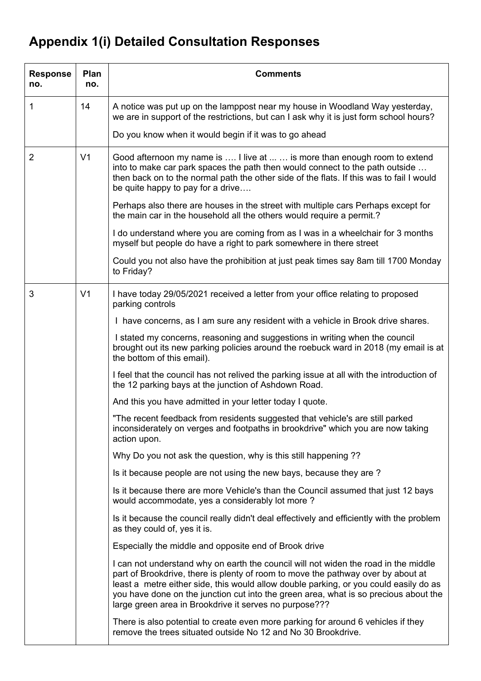## **Appendix 1(i) Detailed Consultation Responses**

| <b>Response</b><br>no. | Plan<br>no.    | <b>Comments</b>                                                                                                                                                                                                                                                                                                                                                                                                    |
|------------------------|----------------|--------------------------------------------------------------------------------------------------------------------------------------------------------------------------------------------------------------------------------------------------------------------------------------------------------------------------------------------------------------------------------------------------------------------|
| 1                      | 14             | A notice was put up on the lamppost near my house in Woodland Way yesterday,<br>we are in support of the restrictions, but can I ask why it is just form school hours?                                                                                                                                                                                                                                             |
|                        |                | Do you know when it would begin if it was to go ahead                                                                                                                                                                                                                                                                                                                                                              |
| 2                      | V <sub>1</sub> | Good afternoon my name is  I live at   is more than enough room to extend<br>into to make car park spaces the path then would connect to the path outside<br>then back on to the normal path the other side of the flats. If this was to fail I would<br>be quite happy to pay for a drive                                                                                                                         |
|                        |                | Perhaps also there are houses in the street with multiple cars Perhaps except for<br>the main car in the household all the others would require a permit.?                                                                                                                                                                                                                                                         |
|                        |                | I do understand where you are coming from as I was in a wheelchair for 3 months<br>myself but people do have a right to park somewhere in there street                                                                                                                                                                                                                                                             |
|                        |                | Could you not also have the prohibition at just peak times say 8am till 1700 Monday<br>to Friday?                                                                                                                                                                                                                                                                                                                  |
| 3                      | V <sub>1</sub> | I have today 29/05/2021 received a letter from your office relating to proposed<br>parking controls                                                                                                                                                                                                                                                                                                                |
|                        |                | I have concerns, as I am sure any resident with a vehicle in Brook drive shares.                                                                                                                                                                                                                                                                                                                                   |
|                        |                | I stated my concerns, reasoning and suggestions in writing when the council<br>brought out its new parking policies around the roebuck ward in 2018 (my email is at<br>the bottom of this email).                                                                                                                                                                                                                  |
|                        |                | I feel that the council has not relived the parking issue at all with the introduction of<br>the 12 parking bays at the junction of Ashdown Road.                                                                                                                                                                                                                                                                  |
|                        |                | And this you have admitted in your letter today I quote.                                                                                                                                                                                                                                                                                                                                                           |
|                        |                | "The recent feedback from residents suggested that vehicle's are still parked<br>inconsiderately on verges and footpaths in brookdrive" which you are now taking<br>action upon.                                                                                                                                                                                                                                   |
|                        |                | Why Do you not ask the question, why is this still happening ??                                                                                                                                                                                                                                                                                                                                                    |
|                        |                | Is it because people are not using the new bays, because they are?                                                                                                                                                                                                                                                                                                                                                 |
|                        |                | Is it because there are more Vehicle's than the Council assumed that just 12 bays<br>would accommodate, yes a considerably lot more?                                                                                                                                                                                                                                                                               |
|                        |                | Is it because the council really didn't deal effectively and efficiently with the problem<br>as they could of, yes it is.                                                                                                                                                                                                                                                                                          |
|                        |                | Especially the middle and opposite end of Brook drive                                                                                                                                                                                                                                                                                                                                                              |
|                        |                | I can not understand why on earth the council will not widen the road in the middle<br>part of Brookdrive, there is plenty of room to move the pathway over by about at<br>least a metre either side, this would allow double parking, or you could easily do as<br>you have done on the junction cut into the green area, what is so precious about the<br>large green area in Brookdrive it serves no purpose??? |
|                        |                | There is also potential to create even more parking for around 6 vehicles if they<br>remove the trees situated outside No 12 and No 30 Brookdrive.                                                                                                                                                                                                                                                                 |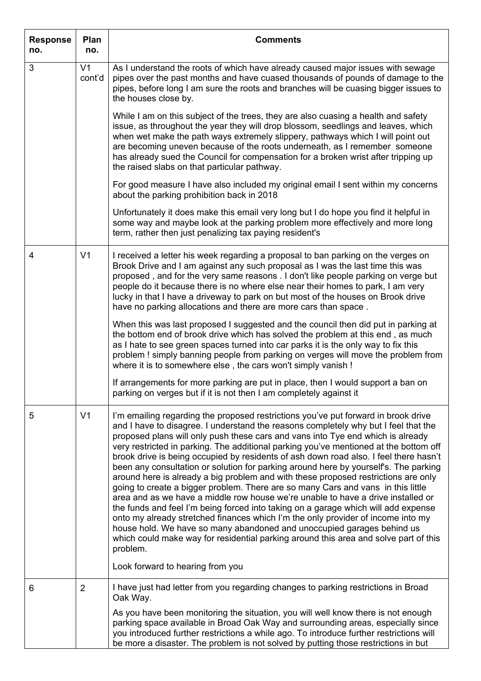| <b>Response</b><br>no. | Plan<br>no.              | <b>Comments</b>                                                                                                                                                                                                                                                                                                                                                                                                                                                                                                                                                                                                                                                                                                                                                                                                                                                                                                                                                                                                                                                                                                                                                                                  |
|------------------------|--------------------------|--------------------------------------------------------------------------------------------------------------------------------------------------------------------------------------------------------------------------------------------------------------------------------------------------------------------------------------------------------------------------------------------------------------------------------------------------------------------------------------------------------------------------------------------------------------------------------------------------------------------------------------------------------------------------------------------------------------------------------------------------------------------------------------------------------------------------------------------------------------------------------------------------------------------------------------------------------------------------------------------------------------------------------------------------------------------------------------------------------------------------------------------------------------------------------------------------|
| 3                      | V <sub>1</sub><br>cont'd | As I understand the roots of which have already caused major issues with sewage<br>pipes over the past months and have cuased thousands of pounds of damage to the<br>pipes, before long I am sure the roots and branches will be cuasing bigger issues to<br>the houses close by.                                                                                                                                                                                                                                                                                                                                                                                                                                                                                                                                                                                                                                                                                                                                                                                                                                                                                                               |
|                        |                          | While I am on this subject of the trees, they are also cuasing a health and safety<br>issue, as throughout the year they will drop blossom, seedlings and leaves, which<br>when wet make the path ways extremely slippery, pathways which I will point out<br>are becoming uneven because of the roots underneath, as I remember someone<br>has already sued the Council for compensation for a broken wrist after tripping up<br>the raised slabs on that particular pathway.                                                                                                                                                                                                                                                                                                                                                                                                                                                                                                                                                                                                                                                                                                                   |
|                        |                          | For good measure I have also included my original email I sent within my concerns<br>about the parking prohibition back in 2018                                                                                                                                                                                                                                                                                                                                                                                                                                                                                                                                                                                                                                                                                                                                                                                                                                                                                                                                                                                                                                                                  |
|                        |                          | Unfortunately it does make this email very long but I do hope you find it helpful in<br>some way and maybe look at the parking problem more effectively and more long<br>term, rather then just penalizing tax paying resident's                                                                                                                                                                                                                                                                                                                                                                                                                                                                                                                                                                                                                                                                                                                                                                                                                                                                                                                                                                 |
| 4                      | V <sub>1</sub>           | I received a letter his week regarding a proposal to ban parking on the verges on<br>Brook Drive and I am against any such proposal as I was the last time this was<br>proposed, and for the very same reasons . I don't like people parking on verge but<br>people do it because there is no where else near their homes to park, I am very<br>lucky in that I have a driveway to park on but most of the houses on Brook drive<br>have no parking allocations and there are more cars than space.                                                                                                                                                                                                                                                                                                                                                                                                                                                                                                                                                                                                                                                                                              |
|                        |                          | When this was last proposed I suggested and the council then did put in parking at<br>the bottom end of brook drive which has solved the problem at this end, as much<br>as I hate to see green spaces turned into car parks it is the only way to fix this<br>problem ! simply banning people from parking on verges will move the problem from<br>where it is to somewhere else, the cars won't simply vanish !                                                                                                                                                                                                                                                                                                                                                                                                                                                                                                                                                                                                                                                                                                                                                                                |
|                        |                          | If arrangements for more parking are put in place, then I would support a ban on<br>parking on verges but if it is not then I am completely against it                                                                                                                                                                                                                                                                                                                                                                                                                                                                                                                                                                                                                                                                                                                                                                                                                                                                                                                                                                                                                                           |
| 5                      | V <sub>1</sub>           | I'm emailing regarding the proposed restrictions you've put forward in brook drive<br>and I have to disagree. I understand the reasons completely why but I feel that the<br>proposed plans will only push these cars and vans into Tye end which is already<br>very restricted in parking. The additional parking you've mentioned at the bottom off<br>brook drive is being occupied by residents of ash down road also. I feel there hasn't<br>been any consultation or solution for parking around here by yourself's. The parking<br>around here is already a big problem and with these proposed restrictions are only<br>going to create a bigger problem. There are so many Cars and vans in this little<br>area and as we have a middle row house we're unable to have a drive installed or<br>the funds and feel I'm being forced into taking on a garage which will add expense<br>onto my already stretched finances which I'm the only provider of income into my<br>house hold. We have so many abandoned and unoccupied garages behind us<br>which could make way for residential parking around this area and solve part of this<br>problem.<br>Look forward to hearing from you |
|                        |                          |                                                                                                                                                                                                                                                                                                                                                                                                                                                                                                                                                                                                                                                                                                                                                                                                                                                                                                                                                                                                                                                                                                                                                                                                  |
| 6                      | $\overline{2}$           | I have just had letter from you regarding changes to parking restrictions in Broad<br>Oak Way.<br>As you have been monitoring the situation, you will well know there is not enough                                                                                                                                                                                                                                                                                                                                                                                                                                                                                                                                                                                                                                                                                                                                                                                                                                                                                                                                                                                                              |
|                        |                          | parking space available in Broad Oak Way and surrounding areas, especially since<br>you introduced further restrictions a while ago. To introduce further restrictions will<br>be more a disaster. The problem is not solved by putting those restrictions in but                                                                                                                                                                                                                                                                                                                                                                                                                                                                                                                                                                                                                                                                                                                                                                                                                                                                                                                                |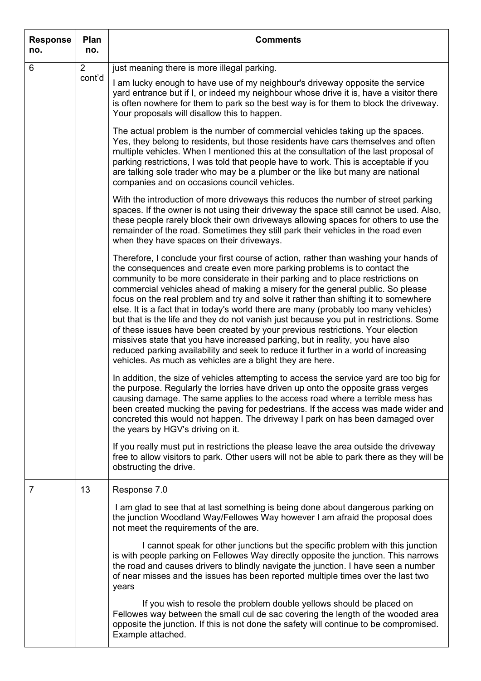| <b>Response</b><br>no. | Plan<br>no.              | <b>Comments</b>                                                                                                                                                                                                                                                                                                                                                                                                                                                                                                                                                                                                                                                                                                                                                                                                                                                                                                                      |
|------------------------|--------------------------|--------------------------------------------------------------------------------------------------------------------------------------------------------------------------------------------------------------------------------------------------------------------------------------------------------------------------------------------------------------------------------------------------------------------------------------------------------------------------------------------------------------------------------------------------------------------------------------------------------------------------------------------------------------------------------------------------------------------------------------------------------------------------------------------------------------------------------------------------------------------------------------------------------------------------------------|
| 6                      | $\overline{2}$<br>cont'd | just meaning there is more illegal parking.                                                                                                                                                                                                                                                                                                                                                                                                                                                                                                                                                                                                                                                                                                                                                                                                                                                                                          |
|                        |                          | I am lucky enough to have use of my neighbour's driveway opposite the service<br>yard entrance but if I, or indeed my neighbour whose drive it is, have a visitor there<br>is often nowhere for them to park so the best way is for them to block the driveway.<br>Your proposals will disallow this to happen.                                                                                                                                                                                                                                                                                                                                                                                                                                                                                                                                                                                                                      |
|                        |                          | The actual problem is the number of commercial vehicles taking up the spaces.<br>Yes, they belong to residents, but those residents have cars themselves and often<br>multiple vehicles. When I mentioned this at the consultation of the last proposal of<br>parking restrictions, I was told that people have to work. This is acceptable if you<br>are talking sole trader who may be a plumber or the like but many are national<br>companies and on occasions council vehicles.                                                                                                                                                                                                                                                                                                                                                                                                                                                 |
|                        |                          | With the introduction of more driveways this reduces the number of street parking<br>spaces. If the owner is not using their driveway the space still cannot be used. Also,<br>these people rarely block their own driveways allowing spaces for others to use the<br>remainder of the road. Sometimes they still park their vehicles in the road even<br>when they have spaces on their driveways.                                                                                                                                                                                                                                                                                                                                                                                                                                                                                                                                  |
|                        |                          | Therefore, I conclude your first course of action, rather than washing your hands of<br>the consequences and create even more parking problems is to contact the<br>community to be more considerate in their parking and to place restrictions on<br>commercial vehicles ahead of making a misery for the general public. So please<br>focus on the real problem and try and solve it rather than shifting it to somewhere<br>else. It is a fact that in today's world there are many (probably too many vehicles)<br>but that is the life and they do not vanish just because you put in restrictions. Some<br>of these issues have been created by your previous restrictions. Your election<br>missives state that you have increased parking, but in reality, you have also<br>reduced parking availability and seek to reduce it further in a world of increasing<br>vehicles. As much as vehicles are a blight they are here. |
|                        |                          | In addition, the size of vehicles attempting to access the service yard are too big for<br>the purpose. Regularly the lorries have driven up onto the opposite grass verges<br>causing damage. The same applies to the access road where a terrible mess has<br>been created mucking the paving for pedestrians. If the access was made wider and<br>concreted this would not happen. The driveway I park on has been damaged over<br>the years by HGV's driving on it.                                                                                                                                                                                                                                                                                                                                                                                                                                                              |
|                        |                          | If you really must put in restrictions the please leave the area outside the driveway<br>free to allow visitors to park. Other users will not be able to park there as they will be<br>obstructing the drive.                                                                                                                                                                                                                                                                                                                                                                                                                                                                                                                                                                                                                                                                                                                        |
| 7                      | 13                       | Response 7.0                                                                                                                                                                                                                                                                                                                                                                                                                                                                                                                                                                                                                                                                                                                                                                                                                                                                                                                         |
|                        |                          | I am glad to see that at last something is being done about dangerous parking on<br>the junction Woodland Way/Fellowes Way however I am afraid the proposal does<br>not meet the requirements of the are.                                                                                                                                                                                                                                                                                                                                                                                                                                                                                                                                                                                                                                                                                                                            |
|                        |                          | I cannot speak for other junctions but the specific problem with this junction<br>is with people parking on Fellowes Way directly opposite the junction. This narrows<br>the road and causes drivers to blindly navigate the junction. I have seen a number<br>of near misses and the issues has been reported multiple times over the last two<br>years                                                                                                                                                                                                                                                                                                                                                                                                                                                                                                                                                                             |
|                        |                          | If you wish to resole the problem double yellows should be placed on<br>Fellowes way between the small cul de sac covering the length of the wooded area<br>opposite the junction. If this is not done the safety will continue to be compromised.<br>Example attached.                                                                                                                                                                                                                                                                                                                                                                                                                                                                                                                                                                                                                                                              |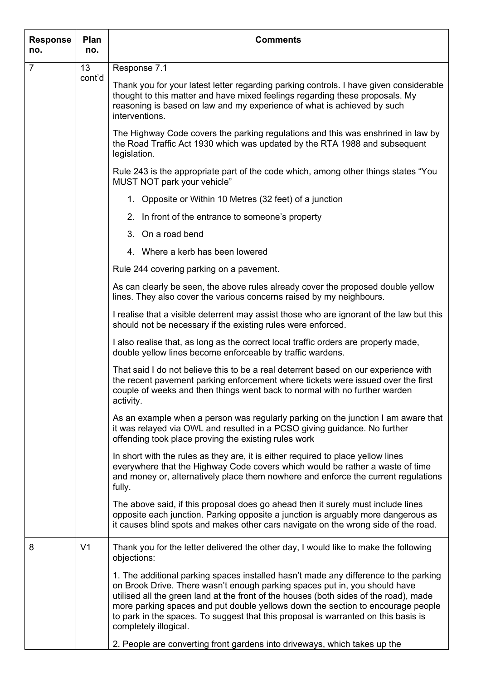| <b>Response</b><br>no. | Plan<br>no.    | <b>Comments</b>                                                                                                                                                                                                                                                                                                                                                                                                                                               |
|------------------------|----------------|---------------------------------------------------------------------------------------------------------------------------------------------------------------------------------------------------------------------------------------------------------------------------------------------------------------------------------------------------------------------------------------------------------------------------------------------------------------|
| $\overline{7}$         | 13<br>cont'd   | Response 7.1                                                                                                                                                                                                                                                                                                                                                                                                                                                  |
|                        |                | Thank you for your latest letter regarding parking controls. I have given considerable<br>thought to this matter and have mixed feelings regarding these proposals. My<br>reasoning is based on law and my experience of what is achieved by such<br>interventions.                                                                                                                                                                                           |
|                        |                | The Highway Code covers the parking regulations and this was enshrined in law by<br>the Road Traffic Act 1930 which was updated by the RTA 1988 and subsequent<br>legislation.                                                                                                                                                                                                                                                                                |
|                        |                | Rule 243 is the appropriate part of the code which, among other things states "You<br>MUST NOT park your vehicle"                                                                                                                                                                                                                                                                                                                                             |
|                        |                | 1. Opposite or Within 10 Metres (32 feet) of a junction                                                                                                                                                                                                                                                                                                                                                                                                       |
|                        |                | 2. In front of the entrance to someone's property                                                                                                                                                                                                                                                                                                                                                                                                             |
|                        |                | 3. On a road bend                                                                                                                                                                                                                                                                                                                                                                                                                                             |
|                        |                | 4. Where a kerb has been lowered                                                                                                                                                                                                                                                                                                                                                                                                                              |
|                        |                | Rule 244 covering parking on a pavement.                                                                                                                                                                                                                                                                                                                                                                                                                      |
|                        |                | As can clearly be seen, the above rules already cover the proposed double yellow<br>lines. They also cover the various concerns raised by my neighbours.                                                                                                                                                                                                                                                                                                      |
|                        |                | I realise that a visible deterrent may assist those who are ignorant of the law but this<br>should not be necessary if the existing rules were enforced.                                                                                                                                                                                                                                                                                                      |
|                        |                | I also realise that, as long as the correct local traffic orders are properly made,<br>double yellow lines become enforceable by traffic wardens.                                                                                                                                                                                                                                                                                                             |
|                        |                | That said I do not believe this to be a real deterrent based on our experience with<br>the recent pavement parking enforcement where tickets were issued over the first<br>couple of weeks and then things went back to normal with no further warden<br>activity.                                                                                                                                                                                            |
|                        |                | As an example when a person was regularly parking on the junction I am aware that<br>it was relayed via OWL and resulted in a PCSO giving guidance. No further<br>offending took place proving the existing rules work                                                                                                                                                                                                                                        |
|                        |                | In short with the rules as they are, it is either required to place yellow lines<br>everywhere that the Highway Code covers which would be rather a waste of time<br>and money or, alternatively place them nowhere and enforce the current regulations<br>fully.                                                                                                                                                                                             |
|                        |                | The above said, if this proposal does go ahead then it surely must include lines<br>opposite each junction. Parking opposite a junction is arguably more dangerous as<br>it causes blind spots and makes other cars navigate on the wrong side of the road.                                                                                                                                                                                                   |
| 8                      | V <sub>1</sub> | Thank you for the letter delivered the other day, I would like to make the following<br>objections:                                                                                                                                                                                                                                                                                                                                                           |
|                        |                | 1. The additional parking spaces installed hasn't made any difference to the parking<br>on Brook Drive. There wasn't enough parking spaces put in, you should have<br>utilised all the green land at the front of the houses (both sides of the road), made<br>more parking spaces and put double yellows down the section to encourage people<br>to park in the spaces. To suggest that this proposal is warranted on this basis is<br>completely illogical. |
|                        |                | 2. People are converting front gardens into driveways, which takes up the                                                                                                                                                                                                                                                                                                                                                                                     |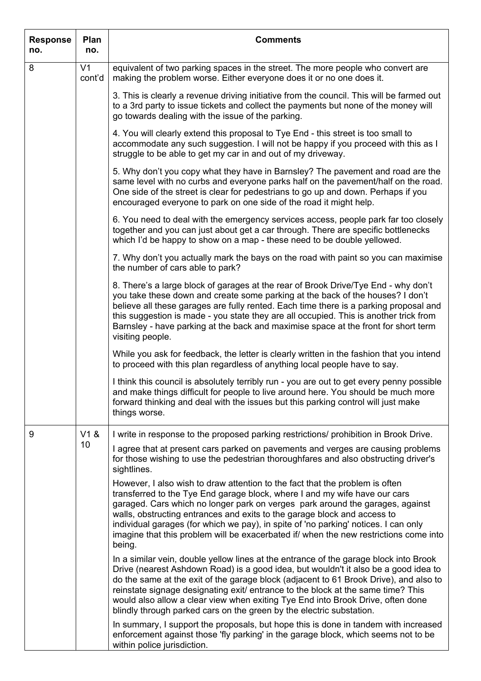| <b>Response</b><br>no. | Plan<br>no.              | <b>Comments</b>                                                                                                                                                                                                                                                                                                                                                                                                                                                                                                      |
|------------------------|--------------------------|----------------------------------------------------------------------------------------------------------------------------------------------------------------------------------------------------------------------------------------------------------------------------------------------------------------------------------------------------------------------------------------------------------------------------------------------------------------------------------------------------------------------|
| 8                      | V <sub>1</sub><br>cont'd | equivalent of two parking spaces in the street. The more people who convert are<br>making the problem worse. Either everyone does it or no one does it.                                                                                                                                                                                                                                                                                                                                                              |
|                        |                          | 3. This is clearly a revenue driving initiative from the council. This will be farmed out<br>to a 3rd party to issue tickets and collect the payments but none of the money will<br>go towards dealing with the issue of the parking.                                                                                                                                                                                                                                                                                |
|                        |                          | 4. You will clearly extend this proposal to Tye End - this street is too small to<br>accommodate any such suggestion. I will not be happy if you proceed with this as I<br>struggle to be able to get my car in and out of my driveway.                                                                                                                                                                                                                                                                              |
|                        |                          | 5. Why don't you copy what they have in Barnsley? The pavement and road are the<br>same level with no curbs and everyone parks half on the pavement/half on the road.<br>One side of the street is clear for pedestrians to go up and down. Perhaps if you<br>encouraged everyone to park on one side of the road it might help.                                                                                                                                                                                     |
|                        |                          | 6. You need to deal with the emergency services access, people park far too closely<br>together and you can just about get a car through. There are specific bottlenecks<br>which I'd be happy to show on a map - these need to be double yellowed.                                                                                                                                                                                                                                                                  |
|                        |                          | 7. Why don't you actually mark the bays on the road with paint so you can maximise<br>the number of cars able to park?                                                                                                                                                                                                                                                                                                                                                                                               |
|                        |                          | 8. There's a large block of garages at the rear of Brook Drive/Tye End - why don't<br>you take these down and create some parking at the back of the houses? I don't<br>believe all these garages are fully rented. Each time there is a parking proposal and<br>this suggestion is made - you state they are all occupied. This is another trick from<br>Barnsley - have parking at the back and maximise space at the front for short term<br>visiting people.                                                     |
|                        |                          | While you ask for feedback, the letter is clearly written in the fashion that you intend<br>to proceed with this plan regardless of anything local people have to say.                                                                                                                                                                                                                                                                                                                                               |
|                        |                          | I think this council is absolutely terribly run - you are out to get every penny possible<br>and make things difficult for people to live around here. You should be much more<br>forward thinking and deal with the issues but this parking control will just make<br>things worse.                                                                                                                                                                                                                                 |
| 9                      | V1 &                     | I write in response to the proposed parking restrictions/ prohibition in Brook Drive.                                                                                                                                                                                                                                                                                                                                                                                                                                |
|                        | 10                       | I agree that at present cars parked on pavements and verges are causing problems<br>for those wishing to use the pedestrian thoroughfares and also obstructing driver's<br>sightlines.                                                                                                                                                                                                                                                                                                                               |
|                        |                          | However, I also wish to draw attention to the fact that the problem is often<br>transferred to the Tye End garage block, where I and my wife have our cars<br>garaged. Cars which no longer park on verges park around the garages, against<br>walls, obstructing entrances and exits to the garage block and access to<br>individual garages (for which we pay), in spite of 'no parking' notices. I can only<br>imagine that this problem will be exacerbated if when the new restrictions come into<br>being.     |
|                        |                          | In a similar vein, double yellow lines at the entrance of the garage block into Brook<br>Drive (nearest Ashdown Road) is a good idea, but wouldn't it also be a good idea to<br>do the same at the exit of the garage block (adjacent to 61 Brook Drive), and also to<br>reinstate signage designating exit/ entrance to the block at the same time? This<br>would also allow a clear view when exiting Tye End into Brook Drive, often done<br>blindly through parked cars on the green by the electric substation. |
|                        |                          | In summary, I support the proposals, but hope this is done in tandem with increased<br>enforcement against those 'fly parking' in the garage block, which seems not to be<br>within police jurisdiction.                                                                                                                                                                                                                                                                                                             |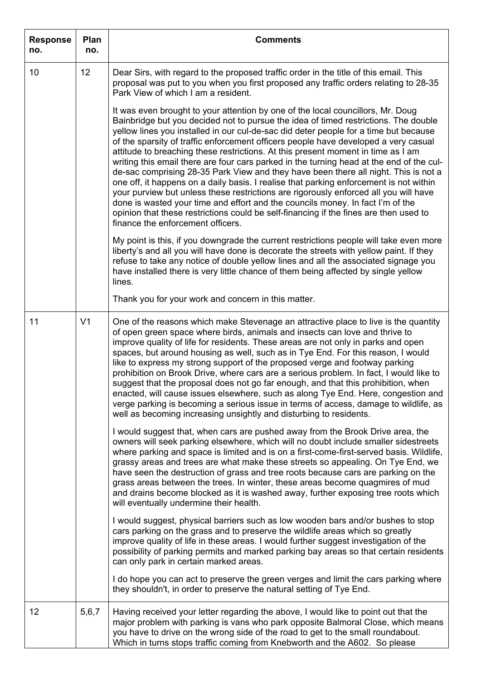| <b>Response</b><br>no. | Plan<br>no.    | <b>Comments</b>                                                                                                                                                                                                                                                                                                                                                                                                                                                                                                                                                                                                                                                                                                                                                                                                                                                                                                                                                                                                                |
|------------------------|----------------|--------------------------------------------------------------------------------------------------------------------------------------------------------------------------------------------------------------------------------------------------------------------------------------------------------------------------------------------------------------------------------------------------------------------------------------------------------------------------------------------------------------------------------------------------------------------------------------------------------------------------------------------------------------------------------------------------------------------------------------------------------------------------------------------------------------------------------------------------------------------------------------------------------------------------------------------------------------------------------------------------------------------------------|
| 10                     | 12             | Dear Sirs, with regard to the proposed traffic order in the title of this email. This<br>proposal was put to you when you first proposed any traffic orders relating to 28-35<br>Park View of which I am a resident.                                                                                                                                                                                                                                                                                                                                                                                                                                                                                                                                                                                                                                                                                                                                                                                                           |
|                        |                | It was even brought to your attention by one of the local councillors, Mr. Doug<br>Bainbridge but you decided not to pursue the idea of timed restrictions. The double<br>yellow lines you installed in our cul-de-sac did deter people for a time but because<br>of the sparsity of traffic enforcement officers people have developed a very casual<br>attitude to breaching these restrictions. At this present moment in time as I am<br>writing this email there are four cars parked in the turning head at the end of the cul-<br>de-sac comprising 28-35 Park View and they have been there all night. This is not a<br>one off, it happens on a daily basis. I realise that parking enforcement is not within<br>your purview but unless these restrictions are rigorously enforced all you will have<br>done is wasted your time and effort and the councils money. In fact I'm of the<br>opinion that these restrictions could be self-financing if the fines are then used to<br>finance the enforcement officers. |
|                        |                | My point is this, if you downgrade the current restrictions people will take even more<br>liberty's and all you will have done is decorate the streets with yellow paint. If they<br>refuse to take any notice of double yellow lines and all the associated signage you<br>have installed there is very little chance of them being affected by single yellow<br>lines.                                                                                                                                                                                                                                                                                                                                                                                                                                                                                                                                                                                                                                                       |
|                        |                | Thank you for your work and concern in this matter.                                                                                                                                                                                                                                                                                                                                                                                                                                                                                                                                                                                                                                                                                                                                                                                                                                                                                                                                                                            |
| 11                     | V <sub>1</sub> | One of the reasons which make Stevenage an attractive place to live is the quantity<br>of open green space where birds, animals and insects can love and thrive to<br>improve quality of life for residents. These areas are not only in parks and open<br>spaces, but around housing as well, such as in Tye End. For this reason, I would<br>like to express my strong support of the proposed verge and footway parking<br>prohibition on Brook Drive, where cars are a serious problem. In fact, I would like to<br>suggest that the proposal does not go far enough, and that this prohibition, when<br>enacted, will cause issues elsewhere, such as along Tye End. Here, congestion and<br>verge parking is becoming a serious issue in terms of access, damage to wildlife, as<br>well as becoming increasing unsightly and disturbing to residents.                                                                                                                                                                   |
|                        |                | I would suggest that, when cars are pushed away from the Brook Drive area, the<br>owners will seek parking elsewhere, which will no doubt include smaller sidestreets<br>where parking and space is limited and is on a first-come-first-served basis. Wildlife,<br>grassy areas and trees are what make these streets so appealing. On Tye End, we<br>have seen the destruction of grass and tree roots because cars are parking on the<br>grass areas between the trees. In winter, these areas become quagmires of mud<br>and drains become blocked as it is washed away, further exposing tree roots which<br>will eventually undermine their health.                                                                                                                                                                                                                                                                                                                                                                      |
|                        |                | I would suggest, physical barriers such as low wooden bars and/or bushes to stop<br>cars parking on the grass and to preserve the wildlife areas which so greatly<br>improve quality of life in these areas. I would further suggest investigation of the<br>possibility of parking permits and marked parking bay areas so that certain residents<br>can only park in certain marked areas.                                                                                                                                                                                                                                                                                                                                                                                                                                                                                                                                                                                                                                   |
|                        |                | I do hope you can act to preserve the green verges and limit the cars parking where<br>they shouldn't, in order to preserve the natural setting of Tye End.                                                                                                                                                                                                                                                                                                                                                                                                                                                                                                                                                                                                                                                                                                                                                                                                                                                                    |
| 12                     | 5,6,7          | Having received your letter regarding the above, I would like to point out that the<br>major problem with parking is vans who park opposite Balmoral Close, which means<br>you have to drive on the wrong side of the road to get to the small roundabout.<br>Which in turns stops traffic coming from Knebworth and the A602. So please                                                                                                                                                                                                                                                                                                                                                                                                                                                                                                                                                                                                                                                                                       |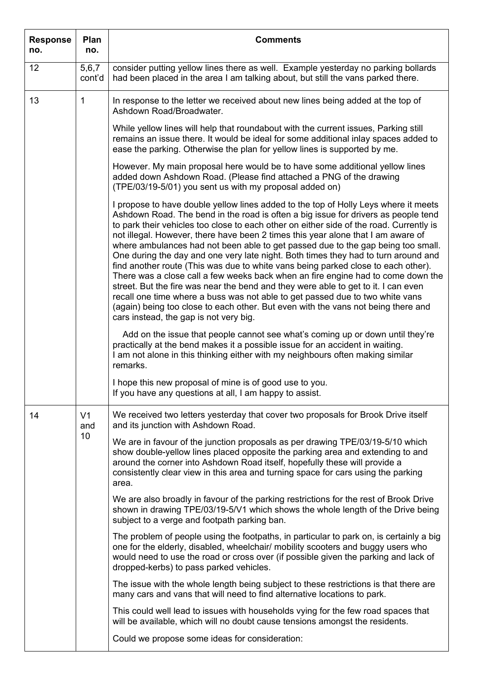| <b>Response</b><br>no. | Plan<br>no.           | <b>Comments</b>                                                                                                                                                                                                                                                                                                                                                                                                                                                                                                                                                                                                                                                                                                                                                                                                                                                                                                                                                                                                   |
|------------------------|-----------------------|-------------------------------------------------------------------------------------------------------------------------------------------------------------------------------------------------------------------------------------------------------------------------------------------------------------------------------------------------------------------------------------------------------------------------------------------------------------------------------------------------------------------------------------------------------------------------------------------------------------------------------------------------------------------------------------------------------------------------------------------------------------------------------------------------------------------------------------------------------------------------------------------------------------------------------------------------------------------------------------------------------------------|
| 12                     | 5,6,7<br>cont'd       | consider putting yellow lines there as well. Example yesterday no parking bollards<br>had been placed in the area I am talking about, but still the vans parked there.                                                                                                                                                                                                                                                                                                                                                                                                                                                                                                                                                                                                                                                                                                                                                                                                                                            |
| 13                     | 1                     | In response to the letter we received about new lines being added at the top of<br>Ashdown Road/Broadwater.                                                                                                                                                                                                                                                                                                                                                                                                                                                                                                                                                                                                                                                                                                                                                                                                                                                                                                       |
|                        |                       | While yellow lines will help that roundabout with the current issues, Parking still<br>remains an issue there. It would be ideal for some additional inlay spaces added to<br>ease the parking. Otherwise the plan for yellow lines is supported by me.                                                                                                                                                                                                                                                                                                                                                                                                                                                                                                                                                                                                                                                                                                                                                           |
|                        |                       | However. My main proposal here would be to have some additional yellow lines<br>added down Ashdown Road. (Please find attached a PNG of the drawing<br>(TPE/03/19-5/01) you sent us with my proposal added on)                                                                                                                                                                                                                                                                                                                                                                                                                                                                                                                                                                                                                                                                                                                                                                                                    |
|                        |                       | I propose to have double yellow lines added to the top of Holly Leys where it meets<br>Ashdown Road. The bend in the road is often a big issue for drivers as people tend<br>to park their vehicles too close to each other on either side of the road. Currently is<br>not illegal. However, there have been 2 times this year alone that I am aware of<br>where ambulances had not been able to get passed due to the gap being too small.<br>One during the day and one very late night. Both times they had to turn around and<br>find another route (This was due to white vans being parked close to each other).<br>There was a close call a few weeks back when an fire engine had to come down the<br>street. But the fire was near the bend and they were able to get to it. I can even<br>recall one time where a buss was not able to get passed due to two white vans<br>(again) being too close to each other. But even with the vans not being there and<br>cars instead, the gap is not very big. |
|                        |                       | Add on the issue that people cannot see what's coming up or down until they're<br>practically at the bend makes it a possible issue for an accident in waiting.<br>I am not alone in this thinking either with my neighbours often making similar<br>remarks.                                                                                                                                                                                                                                                                                                                                                                                                                                                                                                                                                                                                                                                                                                                                                     |
|                        |                       | I hope this new proposal of mine is of good use to you.<br>If you have any questions at all, I am happy to assist.                                                                                                                                                                                                                                                                                                                                                                                                                                                                                                                                                                                                                                                                                                                                                                                                                                                                                                |
| 14                     | V <sub>1</sub><br>and | We received two letters yesterday that cover two proposals for Brook Drive itself<br>and its junction with Ashdown Road.                                                                                                                                                                                                                                                                                                                                                                                                                                                                                                                                                                                                                                                                                                                                                                                                                                                                                          |
|                        | 10                    | We are in favour of the junction proposals as per drawing TPE/03/19-5/10 which<br>show double-yellow lines placed opposite the parking area and extending to and<br>around the corner into Ashdown Road itself, hopefully these will provide a<br>consistently clear view in this area and turning space for cars using the parking<br>area.                                                                                                                                                                                                                                                                                                                                                                                                                                                                                                                                                                                                                                                                      |
|                        |                       | We are also broadly in favour of the parking restrictions for the rest of Brook Drive<br>shown in drawing TPE/03/19-5/V1 which shows the whole length of the Drive being<br>subject to a verge and footpath parking ban.                                                                                                                                                                                                                                                                                                                                                                                                                                                                                                                                                                                                                                                                                                                                                                                          |
|                        |                       | The problem of people using the footpaths, in particular to park on, is certainly a big<br>one for the elderly, disabled, wheelchair/ mobility scooters and buggy users who<br>would need to use the road or cross over (if possible given the parking and lack of<br>dropped-kerbs) to pass parked vehicles.                                                                                                                                                                                                                                                                                                                                                                                                                                                                                                                                                                                                                                                                                                     |
|                        |                       | The issue with the whole length being subject to these restrictions is that there are<br>many cars and vans that will need to find alternative locations to park.                                                                                                                                                                                                                                                                                                                                                                                                                                                                                                                                                                                                                                                                                                                                                                                                                                                 |
|                        |                       | This could well lead to issues with households vying for the few road spaces that<br>will be available, which will no doubt cause tensions amongst the residents.                                                                                                                                                                                                                                                                                                                                                                                                                                                                                                                                                                                                                                                                                                                                                                                                                                                 |
|                        |                       | Could we propose some ideas for consideration:                                                                                                                                                                                                                                                                                                                                                                                                                                                                                                                                                                                                                                                                                                                                                                                                                                                                                                                                                                    |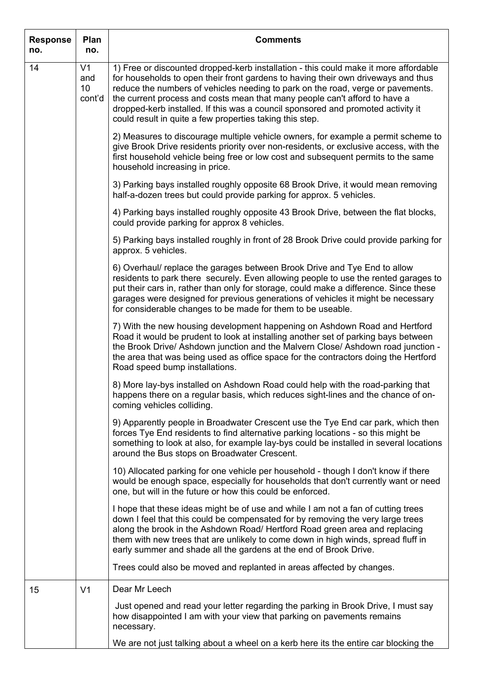| <b>Response</b><br>no. | Plan<br>no.                                        | <b>Comments</b>                                                                                                                                                                                                                                                                                                                                                                                                                                                                            |
|------------------------|----------------------------------------------------|--------------------------------------------------------------------------------------------------------------------------------------------------------------------------------------------------------------------------------------------------------------------------------------------------------------------------------------------------------------------------------------------------------------------------------------------------------------------------------------------|
| 14                     | V <sub>1</sub><br>and<br>10 <sup>°</sup><br>cont'd | 1) Free or discounted dropped-kerb installation - this could make it more affordable<br>for households to open their front gardens to having their own driveways and thus<br>reduce the numbers of vehicles needing to park on the road, verge or pavements.<br>the current process and costs mean that many people can't afford to have a<br>dropped-kerb installed. If this was a council sponsored and promoted activity it<br>could result in quite a few properties taking this step. |
|                        |                                                    | 2) Measures to discourage multiple vehicle owners, for example a permit scheme to<br>give Brook Drive residents priority over non-residents, or exclusive access, with the<br>first household vehicle being free or low cost and subsequent permits to the same<br>household increasing in price.                                                                                                                                                                                          |
|                        |                                                    | 3) Parking bays installed roughly opposite 68 Brook Drive, it would mean removing<br>half-a-dozen trees but could provide parking for approx. 5 vehicles.                                                                                                                                                                                                                                                                                                                                  |
|                        |                                                    | 4) Parking bays installed roughly opposite 43 Brook Drive, between the flat blocks,<br>could provide parking for approx 8 vehicles.                                                                                                                                                                                                                                                                                                                                                        |
|                        |                                                    | 5) Parking bays installed roughly in front of 28 Brook Drive could provide parking for<br>approx. 5 vehicles.                                                                                                                                                                                                                                                                                                                                                                              |
|                        |                                                    | 6) Overhaul/ replace the garages between Brook Drive and Tye End to allow<br>residents to park there securely. Even allowing people to use the rented garages to<br>put their cars in, rather than only for storage, could make a difference. Since these<br>garages were designed for previous generations of vehicles it might be necessary<br>for considerable changes to be made for them to be useable.                                                                               |
|                        |                                                    | 7) With the new housing development happening on Ashdown Road and Hertford<br>Road it would be prudent to look at installing another set of parking bays between<br>the Brook Drive/ Ashdown junction and the Malvern Close/ Ashdown road junction -<br>the area that was being used as office space for the contractors doing the Hertford<br>Road speed bump installations.                                                                                                              |
|                        |                                                    | 8) More lay-bys installed on Ashdown Road could help with the road-parking that<br>happens there on a regular basis, which reduces sight-lines and the chance of on-<br>coming vehicles colliding.                                                                                                                                                                                                                                                                                         |
|                        |                                                    | 9) Apparently people in Broadwater Crescent use the Tye End car park, which then<br>forces Tye End residents to find alternative parking locations - so this might be<br>something to look at also, for example lay-bys could be installed in several locations<br>around the Bus stops on Broadwater Crescent.                                                                                                                                                                            |
|                        |                                                    | 10) Allocated parking for one vehicle per household - though I don't know if there<br>would be enough space, especially for households that don't currently want or need<br>one, but will in the future or how this could be enforced.                                                                                                                                                                                                                                                     |
|                        |                                                    | I hope that these ideas might be of use and while I am not a fan of cutting trees<br>down I feel that this could be compensated for by removing the very large trees<br>along the brook in the Ashdown Road/ Hertford Road green area and replacing<br>them with new trees that are unlikely to come down in high winds, spread fluff in<br>early summer and shade all the gardens at the end of Brook Drive.                                                                              |
|                        |                                                    | Trees could also be moved and replanted in areas affected by changes.                                                                                                                                                                                                                                                                                                                                                                                                                      |
| 15                     | V <sub>1</sub>                                     | Dear Mr Leech                                                                                                                                                                                                                                                                                                                                                                                                                                                                              |
|                        |                                                    | Just opened and read your letter regarding the parking in Brook Drive, I must say<br>how disappointed I am with your view that parking on pavements remains<br>necessary.                                                                                                                                                                                                                                                                                                                  |
|                        |                                                    | We are not just talking about a wheel on a kerb here its the entire car blocking the                                                                                                                                                                                                                                                                                                                                                                                                       |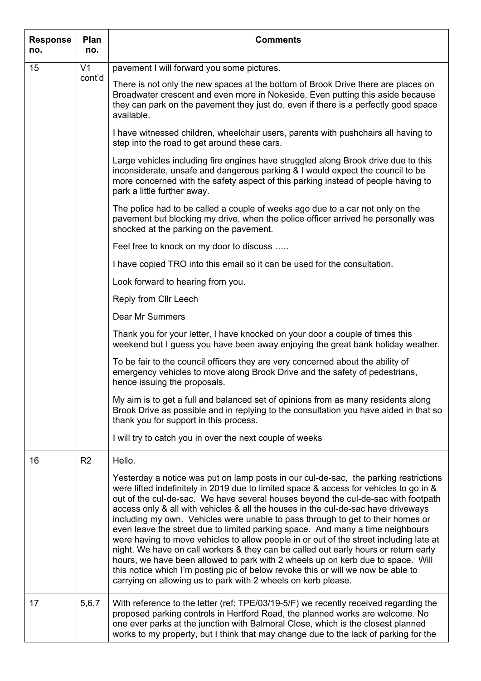| <b>Response</b><br>no. | Plan<br>no.    | <b>Comments</b>                                                                                                                                                                                                                                                                                                                                                                                                                                                                                                                                                                                                                                                                                                                                                                                                                                                                                                                                        |
|------------------------|----------------|--------------------------------------------------------------------------------------------------------------------------------------------------------------------------------------------------------------------------------------------------------------------------------------------------------------------------------------------------------------------------------------------------------------------------------------------------------------------------------------------------------------------------------------------------------------------------------------------------------------------------------------------------------------------------------------------------------------------------------------------------------------------------------------------------------------------------------------------------------------------------------------------------------------------------------------------------------|
| 15                     | V <sub>1</sub> | pavement I will forward you some pictures.                                                                                                                                                                                                                                                                                                                                                                                                                                                                                                                                                                                                                                                                                                                                                                                                                                                                                                             |
|                        | cont'd         | There is not only the new spaces at the bottom of Brook Drive there are places on<br>Broadwater crescent and even more in Nokeside. Even putting this aside because<br>they can park on the pavement they just do, even if there is a perfectly good space<br>available.                                                                                                                                                                                                                                                                                                                                                                                                                                                                                                                                                                                                                                                                               |
|                        |                | I have witnessed children, wheelchair users, parents with pushchairs all having to<br>step into the road to get around these cars.                                                                                                                                                                                                                                                                                                                                                                                                                                                                                                                                                                                                                                                                                                                                                                                                                     |
|                        |                | Large vehicles including fire engines have struggled along Brook drive due to this<br>inconsiderate, unsafe and dangerous parking & I would expect the council to be<br>more concerned with the safety aspect of this parking instead of people having to<br>park a little further away.                                                                                                                                                                                                                                                                                                                                                                                                                                                                                                                                                                                                                                                               |
|                        |                | The police had to be called a couple of weeks ago due to a car not only on the<br>pavement but blocking my drive, when the police officer arrived he personally was<br>shocked at the parking on the pavement.                                                                                                                                                                                                                                                                                                                                                                                                                                                                                                                                                                                                                                                                                                                                         |
|                        |                | Feel free to knock on my door to discuss                                                                                                                                                                                                                                                                                                                                                                                                                                                                                                                                                                                                                                                                                                                                                                                                                                                                                                               |
|                        |                | I have copied TRO into this email so it can be used for the consultation.                                                                                                                                                                                                                                                                                                                                                                                                                                                                                                                                                                                                                                                                                                                                                                                                                                                                              |
|                        |                | Look forward to hearing from you.                                                                                                                                                                                                                                                                                                                                                                                                                                                                                                                                                                                                                                                                                                                                                                                                                                                                                                                      |
|                        |                | Reply from Cllr Leech                                                                                                                                                                                                                                                                                                                                                                                                                                                                                                                                                                                                                                                                                                                                                                                                                                                                                                                                  |
|                        |                | Dear Mr Summers                                                                                                                                                                                                                                                                                                                                                                                                                                                                                                                                                                                                                                                                                                                                                                                                                                                                                                                                        |
|                        |                | Thank you for your letter, I have knocked on your door a couple of times this<br>weekend but I guess you have been away enjoying the great bank holiday weather.                                                                                                                                                                                                                                                                                                                                                                                                                                                                                                                                                                                                                                                                                                                                                                                       |
|                        |                | To be fair to the council officers they are very concerned about the ability of<br>emergency vehicles to move along Brook Drive and the safety of pedestrians,<br>hence issuing the proposals.                                                                                                                                                                                                                                                                                                                                                                                                                                                                                                                                                                                                                                                                                                                                                         |
|                        |                | My aim is to get a full and balanced set of opinions from as many residents along<br>Brook Drive as possible and in replying to the consultation you have aided in that so<br>thank you for support in this process.                                                                                                                                                                                                                                                                                                                                                                                                                                                                                                                                                                                                                                                                                                                                   |
|                        |                | I will try to catch you in over the next couple of weeks                                                                                                                                                                                                                                                                                                                                                                                                                                                                                                                                                                                                                                                                                                                                                                                                                                                                                               |
| 16                     | R <sub>2</sub> | Hello.                                                                                                                                                                                                                                                                                                                                                                                                                                                                                                                                                                                                                                                                                                                                                                                                                                                                                                                                                 |
|                        |                | Yesterday a notice was put on lamp posts in our cul-de-sac, the parking restrictions<br>were lifted indefinitely in 2019 due to limited space & access for vehicles to go in &<br>out of the cul-de-sac. We have several houses beyond the cul-de-sac with footpath<br>access only & all with vehicles & all the houses in the cul-de-sac have driveways<br>including my own. Vehicles were unable to pass through to get to their homes or<br>even leave the street due to limited parking space. And many a time neighbours<br>were having to move vehicles to allow people in or out of the street including late at<br>night. We have on call workers & they can be called out early hours or return early<br>hours, we have been allowed to park with 2 wheels up on kerb due to space. Will<br>this notice which I'm posting pic of below revoke this or will we now be able to<br>carrying on allowing us to park with 2 wheels on kerb please. |
| 17                     | 5,6,7          | With reference to the letter (ref: TPE/03/19-5/F) we recently received regarding the<br>proposed parking controls in Hertford Road, the planned works are welcome. No<br>one ever parks at the junction with Balmoral Close, which is the closest planned<br>works to my property, but I think that may change due to the lack of parking for the                                                                                                                                                                                                                                                                                                                                                                                                                                                                                                                                                                                                      |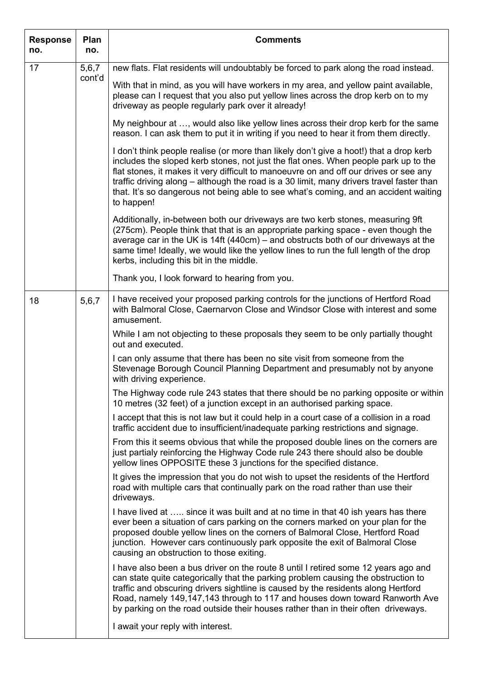| <b>Response</b><br>no. | Plan<br>no.     | <b>Comments</b>                                                                                                                                                                                                                                                                                                                                                                                                                                                          |
|------------------------|-----------------|--------------------------------------------------------------------------------------------------------------------------------------------------------------------------------------------------------------------------------------------------------------------------------------------------------------------------------------------------------------------------------------------------------------------------------------------------------------------------|
| 17                     | 5,6,7<br>cont'd | new flats. Flat residents will undoubtably be forced to park along the road instead.                                                                                                                                                                                                                                                                                                                                                                                     |
|                        |                 | With that in mind, as you will have workers in my area, and yellow paint available,<br>please can I request that you also put yellow lines across the drop kerb on to my<br>driveway as people regularly park over it already!                                                                                                                                                                                                                                           |
|                        |                 | My neighbour at , would also like yellow lines across their drop kerb for the same<br>reason. I can ask them to put it in writing if you need to hear it from them directly.                                                                                                                                                                                                                                                                                             |
|                        |                 | I don't think people realise (or more than likely don't give a hoot!) that a drop kerb<br>includes the sloped kerb stones, not just the flat ones. When people park up to the<br>flat stones, it makes it very difficult to manoeuvre on and off our drives or see any<br>traffic driving along – although the road is a 30 limit, many drivers travel faster than<br>that. It's so dangerous not being able to see what's coming, and an accident waiting<br>to happen! |
|                        |                 | Additionally, in-between both our driveways are two kerb stones, measuring 9ft<br>(275cm). People think that that is an appropriate parking space - even though the<br>average car in the UK is 14ft (440cm) – and obstructs both of our driveways at the<br>same time! Ideally, we would like the yellow lines to run the full length of the drop<br>kerbs, including this bit in the middle.                                                                           |
|                        |                 | Thank you, I look forward to hearing from you.                                                                                                                                                                                                                                                                                                                                                                                                                           |
| 18                     | 5,6,7           | I have received your proposed parking controls for the junctions of Hertford Road<br>with Balmoral Close, Caernarvon Close and Windsor Close with interest and some<br>amusement.                                                                                                                                                                                                                                                                                        |
|                        |                 | While I am not objecting to these proposals they seem to be only partially thought<br>out and executed.                                                                                                                                                                                                                                                                                                                                                                  |
|                        |                 | I can only assume that there has been no site visit from someone from the<br>Stevenage Borough Council Planning Department and presumably not by anyone<br>with driving experience.                                                                                                                                                                                                                                                                                      |
|                        |                 | The Highway code rule 243 states that there should be no parking opposite or within<br>10 metres (32 feet) of a junction except in an authorised parking space.                                                                                                                                                                                                                                                                                                          |
|                        |                 | I accept that this is not law but it could help in a court case of a collision in a road<br>traffic accident due to insufficient/inadequate parking restrictions and signage.                                                                                                                                                                                                                                                                                            |
|                        |                 | From this it seems obvious that while the proposed double lines on the corners are<br>just partialy reinforcing the Highway Code rule 243 there should also be double<br>yellow lines OPPOSITE these 3 junctions for the specified distance.                                                                                                                                                                                                                             |
|                        |                 | It gives the impression that you do not wish to upset the residents of the Hertford<br>road with multiple cars that continually park on the road rather than use their<br>driveways.                                                                                                                                                                                                                                                                                     |
|                        |                 | I have lived at  since it was built and at no time in that 40 ish years has there<br>ever been a situation of cars parking on the corners marked on your plan for the<br>proposed double yellow lines on the corners of Balmoral Close, Hertford Road<br>junction. However cars continuously park opposite the exit of Balmoral Close<br>causing an obstruction to those exiting.                                                                                        |
|                        |                 | I have also been a bus driver on the route 8 until I retired some 12 years ago and<br>can state quite categorically that the parking problem causing the obstruction to<br>traffic and obscuring drivers sightline is caused by the residents along Hertford<br>Road, namely 149,147,143 through to 117 and houses down toward Ranworth Ave<br>by parking on the road outside their houses rather than in their often driveways.                                         |
|                        |                 | I await your reply with interest.                                                                                                                                                                                                                                                                                                                                                                                                                                        |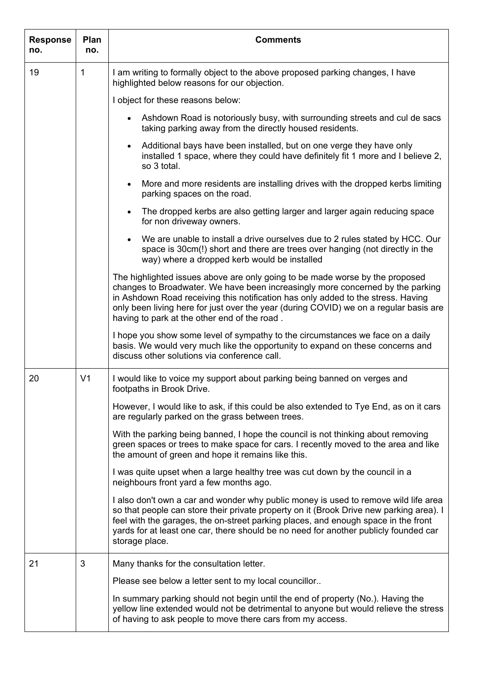| <b>Response</b><br>no. | Plan<br>no.    | <b>Comments</b>                                                                                                                                                                                                                                                                                                                                                                             |
|------------------------|----------------|---------------------------------------------------------------------------------------------------------------------------------------------------------------------------------------------------------------------------------------------------------------------------------------------------------------------------------------------------------------------------------------------|
| 19                     | 1              | I am writing to formally object to the above proposed parking changes, I have<br>highlighted below reasons for our objection.                                                                                                                                                                                                                                                               |
|                        |                | I object for these reasons below:                                                                                                                                                                                                                                                                                                                                                           |
|                        |                | Ashdown Road is notoriously busy, with surrounding streets and cul de sacs<br>taking parking away from the directly housed residents.                                                                                                                                                                                                                                                       |
|                        |                | Additional bays have been installed, but on one verge they have only<br>$\bullet$<br>installed 1 space, where they could have definitely fit 1 more and I believe 2,<br>so 3 total.                                                                                                                                                                                                         |
|                        |                | More and more residents are installing drives with the dropped kerbs limiting<br>$\bullet$<br>parking spaces on the road.                                                                                                                                                                                                                                                                   |
|                        |                | The dropped kerbs are also getting larger and larger again reducing space<br>$\bullet$<br>for non driveway owners.                                                                                                                                                                                                                                                                          |
|                        |                | We are unable to install a drive ourselves due to 2 rules stated by HCC. Our<br>$\bullet$<br>space is 30cm(!) short and there are trees over hanging (not directly in the<br>way) where a dropped kerb would be installed                                                                                                                                                                   |
|                        |                | The highlighted issues above are only going to be made worse by the proposed<br>changes to Broadwater. We have been increasingly more concerned by the parking<br>in Ashdown Road receiving this notification has only added to the stress. Having<br>only been living here for just over the year (during COVID) we on a regular basis are<br>having to park at the other end of the road. |
|                        |                | I hope you show some level of sympathy to the circumstances we face on a daily<br>basis. We would very much like the opportunity to expand on these concerns and<br>discuss other solutions via conference call.                                                                                                                                                                            |
| 20                     | V <sub>1</sub> | I would like to voice my support about parking being banned on verges and<br>footpaths in Brook Drive.                                                                                                                                                                                                                                                                                      |
|                        |                | However, I would like to ask, if this could be also extended to Tye End, as on it cars<br>are regularly parked on the grass between trees.                                                                                                                                                                                                                                                  |
|                        |                | With the parking being banned, I hope the council is not thinking about removing<br>green spaces or trees to make space for cars. I recently moved to the area and like<br>the amount of green and hope it remains like this.                                                                                                                                                               |
|                        |                | I was quite upset when a large healthy tree was cut down by the council in a<br>neighbours front yard a few months ago.                                                                                                                                                                                                                                                                     |
|                        |                | I also don't own a car and wonder why public money is used to remove wild life area<br>so that people can store their private property on it (Brook Drive new parking area). I<br>feel with the garages, the on-street parking places, and enough space in the front<br>yards for at least one car, there should be no need for another publicly founded car<br>storage place.              |
| 21                     | 3              | Many thanks for the consultation letter.                                                                                                                                                                                                                                                                                                                                                    |
|                        |                | Please see below a letter sent to my local councillor                                                                                                                                                                                                                                                                                                                                       |
|                        |                | In summary parking should not begin until the end of property (No.). Having the<br>yellow line extended would not be detrimental to anyone but would relieve the stress<br>of having to ask people to move there cars from my access.                                                                                                                                                       |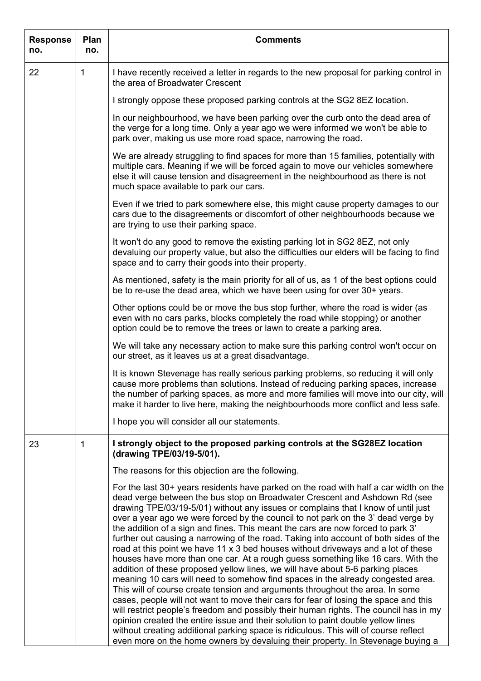| <b>Response</b><br>no. | Plan<br>no. | <b>Comments</b>                                                                                                                                                                                                                                                                                                                                                                                                                                                                                                                                                                                                                                                                                                                                                                                                                                                                                                                                                                                                                                                                                                                                                                                                                                                                                                       |
|------------------------|-------------|-----------------------------------------------------------------------------------------------------------------------------------------------------------------------------------------------------------------------------------------------------------------------------------------------------------------------------------------------------------------------------------------------------------------------------------------------------------------------------------------------------------------------------------------------------------------------------------------------------------------------------------------------------------------------------------------------------------------------------------------------------------------------------------------------------------------------------------------------------------------------------------------------------------------------------------------------------------------------------------------------------------------------------------------------------------------------------------------------------------------------------------------------------------------------------------------------------------------------------------------------------------------------------------------------------------------------|
| 22                     | 1           | I have recently received a letter in regards to the new proposal for parking control in<br>the area of Broadwater Crescent                                                                                                                                                                                                                                                                                                                                                                                                                                                                                                                                                                                                                                                                                                                                                                                                                                                                                                                                                                                                                                                                                                                                                                                            |
|                        |             | I strongly oppose these proposed parking controls at the SG2 8EZ location.                                                                                                                                                                                                                                                                                                                                                                                                                                                                                                                                                                                                                                                                                                                                                                                                                                                                                                                                                                                                                                                                                                                                                                                                                                            |
|                        |             | In our neighbourhood, we have been parking over the curb onto the dead area of<br>the verge for a long time. Only a year ago we were informed we won't be able to<br>park over, making us use more road space, narrowing the road.                                                                                                                                                                                                                                                                                                                                                                                                                                                                                                                                                                                                                                                                                                                                                                                                                                                                                                                                                                                                                                                                                    |
|                        |             | We are already struggling to find spaces for more than 15 families, potentially with<br>multiple cars. Meaning if we will be forced again to move our vehicles somewhere<br>else it will cause tension and disagreement in the neighbourhood as there is not<br>much space available to park our cars.                                                                                                                                                                                                                                                                                                                                                                                                                                                                                                                                                                                                                                                                                                                                                                                                                                                                                                                                                                                                                |
|                        |             | Even if we tried to park somewhere else, this might cause property damages to our<br>cars due to the disagreements or discomfort of other neighbourhoods because we<br>are trying to use their parking space.                                                                                                                                                                                                                                                                                                                                                                                                                                                                                                                                                                                                                                                                                                                                                                                                                                                                                                                                                                                                                                                                                                         |
|                        |             | It won't do any good to remove the existing parking lot in SG2 8EZ, not only<br>devaluing our property value, but also the difficulties our elders will be facing to find<br>space and to carry their goods into their property.                                                                                                                                                                                                                                                                                                                                                                                                                                                                                                                                                                                                                                                                                                                                                                                                                                                                                                                                                                                                                                                                                      |
|                        |             | As mentioned, safety is the main priority for all of us, as 1 of the best options could<br>be to re-use the dead area, which we have been using for over 30+ years.                                                                                                                                                                                                                                                                                                                                                                                                                                                                                                                                                                                                                                                                                                                                                                                                                                                                                                                                                                                                                                                                                                                                                   |
|                        |             | Other options could be or move the bus stop further, where the road is wider (as<br>even with no cars parks, blocks completely the road while stopping) or another<br>option could be to remove the trees or lawn to create a parking area.                                                                                                                                                                                                                                                                                                                                                                                                                                                                                                                                                                                                                                                                                                                                                                                                                                                                                                                                                                                                                                                                           |
|                        |             | We will take any necessary action to make sure this parking control won't occur on<br>our street, as it leaves us at a great disadvantage.                                                                                                                                                                                                                                                                                                                                                                                                                                                                                                                                                                                                                                                                                                                                                                                                                                                                                                                                                                                                                                                                                                                                                                            |
|                        |             | It is known Stevenage has really serious parking problems, so reducing it will only<br>cause more problems than solutions. Instead of reducing parking spaces, increase<br>the number of parking spaces, as more and more families will move into our city, will<br>make it harder to live here, making the neighbourhoods more conflict and less safe.                                                                                                                                                                                                                                                                                                                                                                                                                                                                                                                                                                                                                                                                                                                                                                                                                                                                                                                                                               |
|                        |             | I hope you will consider all our statements.                                                                                                                                                                                                                                                                                                                                                                                                                                                                                                                                                                                                                                                                                                                                                                                                                                                                                                                                                                                                                                                                                                                                                                                                                                                                          |
| 23                     | 1           | I strongly object to the proposed parking controls at the SG28EZ location<br>(drawing TPE/03/19-5/01).                                                                                                                                                                                                                                                                                                                                                                                                                                                                                                                                                                                                                                                                                                                                                                                                                                                                                                                                                                                                                                                                                                                                                                                                                |
|                        |             | The reasons for this objection are the following.                                                                                                                                                                                                                                                                                                                                                                                                                                                                                                                                                                                                                                                                                                                                                                                                                                                                                                                                                                                                                                                                                                                                                                                                                                                                     |
|                        |             | For the last 30+ years residents have parked on the road with half a car width on the<br>dead verge between the bus stop on Broadwater Crescent and Ashdown Rd (see<br>drawing TPE/03/19-5/01) without any issues or complains that I know of until just<br>over a year ago we were forced by the council to not park on the 3' dead verge by<br>the addition of a sign and fines. This meant the cars are now forced to park 3'<br>further out causing a narrowing of the road. Taking into account of both sides of the<br>road at this point we have 11 x 3 bed houses without driveways and a lot of these<br>houses have more than one car. At a rough guess something like 16 cars. With the<br>addition of these proposed yellow lines, we will have about 5-6 parking places<br>meaning 10 cars will need to somehow find spaces in the already congested area.<br>This will of course create tension and arguments throughout the area. In some<br>cases, people will not want to move their cars for fear of losing the space and this<br>will restrict people's freedom and possibly their human rights. The council has in my<br>opinion created the entire issue and their solution to paint double yellow lines<br>without creating additional parking space is ridiculous. This will of course reflect |
|                        |             | even more on the home owners by devaluing their property. In Stevenage buying a                                                                                                                                                                                                                                                                                                                                                                                                                                                                                                                                                                                                                                                                                                                                                                                                                                                                                                                                                                                                                                                                                                                                                                                                                                       |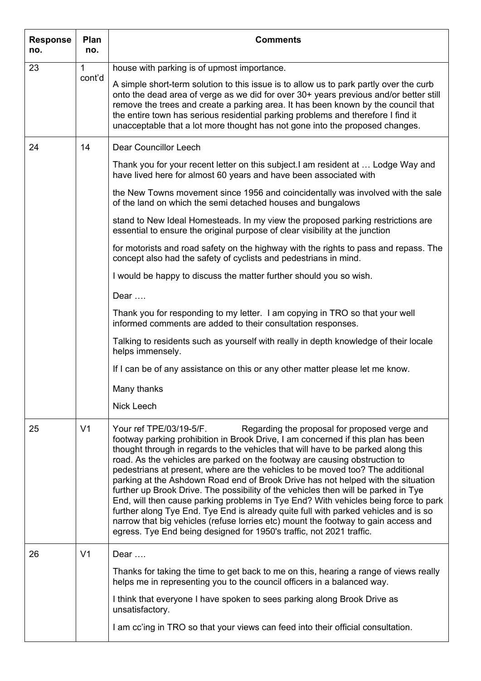| <b>Response</b><br>no. | Plan<br>no.    | <b>Comments</b>                                                                                                                                                                                                                                                                                                                                                                                                                                                                                                                                                                                                                                                                                                                                                                                                                                                                                                                         |
|------------------------|----------------|-----------------------------------------------------------------------------------------------------------------------------------------------------------------------------------------------------------------------------------------------------------------------------------------------------------------------------------------------------------------------------------------------------------------------------------------------------------------------------------------------------------------------------------------------------------------------------------------------------------------------------------------------------------------------------------------------------------------------------------------------------------------------------------------------------------------------------------------------------------------------------------------------------------------------------------------|
| 23                     | 1              | house with parking is of upmost importance.                                                                                                                                                                                                                                                                                                                                                                                                                                                                                                                                                                                                                                                                                                                                                                                                                                                                                             |
|                        | cont'd         | A simple short-term solution to this issue is to allow us to park partly over the curb<br>onto the dead area of verge as we did for over 30+ years previous and/or better still<br>remove the trees and create a parking area. It has been known by the council that<br>the entire town has serious residential parking problems and therefore I find it<br>unacceptable that a lot more thought has not gone into the proposed changes.                                                                                                                                                                                                                                                                                                                                                                                                                                                                                                |
| 24                     | 14             | Dear Councillor Leech                                                                                                                                                                                                                                                                                                                                                                                                                                                                                                                                                                                                                                                                                                                                                                                                                                                                                                                   |
|                        |                | Thank you for your recent letter on this subject. I am resident at  Lodge Way and<br>have lived here for almost 60 years and have been associated with                                                                                                                                                                                                                                                                                                                                                                                                                                                                                                                                                                                                                                                                                                                                                                                  |
|                        |                | the New Towns movement since 1956 and coincidentally was involved with the sale<br>of the land on which the semi detached houses and bungalows                                                                                                                                                                                                                                                                                                                                                                                                                                                                                                                                                                                                                                                                                                                                                                                          |
|                        |                | stand to New Ideal Homesteads. In my view the proposed parking restrictions are<br>essential to ensure the original purpose of clear visibility at the junction                                                                                                                                                                                                                                                                                                                                                                                                                                                                                                                                                                                                                                                                                                                                                                         |
|                        |                | for motorists and road safety on the highway with the rights to pass and repass. The<br>concept also had the safety of cyclists and pedestrians in mind.                                                                                                                                                                                                                                                                                                                                                                                                                                                                                                                                                                                                                                                                                                                                                                                |
|                        |                | I would be happy to discuss the matter further should you so wish.                                                                                                                                                                                                                                                                                                                                                                                                                                                                                                                                                                                                                                                                                                                                                                                                                                                                      |
|                        |                | Dear                                                                                                                                                                                                                                                                                                                                                                                                                                                                                                                                                                                                                                                                                                                                                                                                                                                                                                                                    |
|                        |                | Thank you for responding to my letter. I am copying in TRO so that your well<br>informed comments are added to their consultation responses.                                                                                                                                                                                                                                                                                                                                                                                                                                                                                                                                                                                                                                                                                                                                                                                            |
|                        |                | Talking to residents such as yourself with really in depth knowledge of their locale<br>helps immensely.                                                                                                                                                                                                                                                                                                                                                                                                                                                                                                                                                                                                                                                                                                                                                                                                                                |
|                        |                | If I can be of any assistance on this or any other matter please let me know.                                                                                                                                                                                                                                                                                                                                                                                                                                                                                                                                                                                                                                                                                                                                                                                                                                                           |
|                        |                | Many thanks                                                                                                                                                                                                                                                                                                                                                                                                                                                                                                                                                                                                                                                                                                                                                                                                                                                                                                                             |
|                        |                | <b>Nick Leech</b>                                                                                                                                                                                                                                                                                                                                                                                                                                                                                                                                                                                                                                                                                                                                                                                                                                                                                                                       |
| 25                     | V <sub>1</sub> | Regarding the proposal for proposed verge and<br>Your ref TPE/03/19-5/F.<br>footway parking prohibition in Brook Drive, I am concerned if this plan has been<br>thought through in regards to the vehicles that will have to be parked along this<br>road. As the vehicles are parked on the footway are causing obstruction to<br>pedestrians at present, where are the vehicles to be moved too? The additional<br>parking at the Ashdown Road end of Brook Drive has not helped with the situation<br>further up Brook Drive. The possibility of the vehicles then will be parked in Tye<br>End, will then cause parking problems in Tye End? With vehicles being force to park<br>further along Tye End. Tye End is already quite full with parked vehicles and is so<br>narrow that big vehicles (refuse lorries etc) mount the footway to gain access and<br>egress. Tye End being designed for 1950's traffic, not 2021 traffic. |
| 26                     | V <sub>1</sub> | Dear $\dots$                                                                                                                                                                                                                                                                                                                                                                                                                                                                                                                                                                                                                                                                                                                                                                                                                                                                                                                            |
|                        |                | Thanks for taking the time to get back to me on this, hearing a range of views really<br>helps me in representing you to the council officers in a balanced way.                                                                                                                                                                                                                                                                                                                                                                                                                                                                                                                                                                                                                                                                                                                                                                        |
|                        |                | I think that everyone I have spoken to sees parking along Brook Drive as<br>unsatisfactory.                                                                                                                                                                                                                                                                                                                                                                                                                                                                                                                                                                                                                                                                                                                                                                                                                                             |
|                        |                | I am cc'ing in TRO so that your views can feed into their official consultation.                                                                                                                                                                                                                                                                                                                                                                                                                                                                                                                                                                                                                                                                                                                                                                                                                                                        |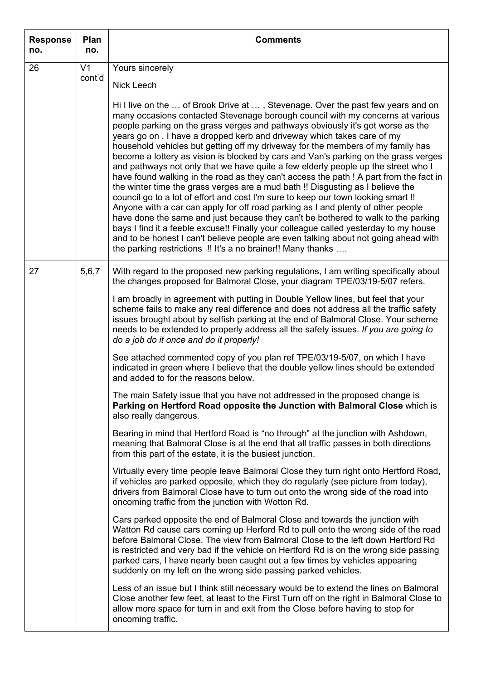| <b>Response</b><br>no. | Plan<br>no.    | <b>Comments</b>                                                                                                                                                                                                                                                                                                                                                                                                                                                                                                                                                                                                                                                                                                                                                                                                                                                                                                                                                                                                                                                                                                                                                                                                                                                                        |
|------------------------|----------------|----------------------------------------------------------------------------------------------------------------------------------------------------------------------------------------------------------------------------------------------------------------------------------------------------------------------------------------------------------------------------------------------------------------------------------------------------------------------------------------------------------------------------------------------------------------------------------------------------------------------------------------------------------------------------------------------------------------------------------------------------------------------------------------------------------------------------------------------------------------------------------------------------------------------------------------------------------------------------------------------------------------------------------------------------------------------------------------------------------------------------------------------------------------------------------------------------------------------------------------------------------------------------------------|
| 26                     | V <sub>1</sub> | Yours sincerely                                                                                                                                                                                                                                                                                                                                                                                                                                                                                                                                                                                                                                                                                                                                                                                                                                                                                                                                                                                                                                                                                                                                                                                                                                                                        |
|                        | cont'd         | Nick Leech                                                                                                                                                                                                                                                                                                                                                                                                                                                                                                                                                                                                                                                                                                                                                                                                                                                                                                                                                                                                                                                                                                                                                                                                                                                                             |
|                        |                | Hi I live on the  of Brook Drive at , Stevenage. Over the past few years and on<br>many occasions contacted Stevenage borough council with my concerns at various<br>people parking on the grass verges and pathways obviously it's got worse as the<br>years go on . I have a dropped kerb and driveway which takes care of my<br>household vehicles but getting off my driveway for the members of my family has<br>become a lottery as vision is blocked by cars and Van's parking on the grass verges<br>and pathways not only that we have quite a few elderly people up the street who I<br>have found walking in the road as they can't access the path ! A part from the fact in<br>the winter time the grass verges are a mud bath !! Disgusting as I believe the<br>council go to a lot of effort and cost I'm sure to keep our town looking smart !!<br>Anyone with a car can apply for off road parking as I and plenty of other people<br>have done the same and just because they can't be bothered to walk to the parking<br>bays I find it a feeble excuse!! Finally your colleague called yesterday to my house<br>and to be honest I can't believe people are even talking about not going ahead with<br>the parking restrictions !! It's a no brainer!! Many thanks |
| 27                     | 5,6,7          | With regard to the proposed new parking regulations, I am writing specifically about<br>the changes proposed for Balmoral Close, your diagram TPE/03/19-5/07 refers.                                                                                                                                                                                                                                                                                                                                                                                                                                                                                                                                                                                                                                                                                                                                                                                                                                                                                                                                                                                                                                                                                                                   |
|                        |                | I am broadly in agreement with putting in Double Yellow lines, but feel that your<br>scheme fails to make any real difference and does not address all the traffic safety<br>issues brought about by selfish parking at the end of Balmoral Close. Your scheme<br>needs to be extended to properly address all the safety issues. If you are going to<br>do a job do it once and do it properly!                                                                                                                                                                                                                                                                                                                                                                                                                                                                                                                                                                                                                                                                                                                                                                                                                                                                                       |
|                        |                | See attached commented copy of you plan ref TPE/03/19-5/07, on which I have<br>indicated in green where I believe that the double yellow lines should be extended<br>and added to for the reasons below.                                                                                                                                                                                                                                                                                                                                                                                                                                                                                                                                                                                                                                                                                                                                                                                                                                                                                                                                                                                                                                                                               |
|                        |                | The main Safety issue that you have not addressed in the proposed change is<br>Parking on Hertford Road opposite the Junction with Balmoral Close which is<br>also really dangerous.                                                                                                                                                                                                                                                                                                                                                                                                                                                                                                                                                                                                                                                                                                                                                                                                                                                                                                                                                                                                                                                                                                   |
|                        |                | Bearing in mind that Hertford Road is "no through" at the junction with Ashdown,<br>meaning that Balmoral Close is at the end that all traffic passes in both directions<br>from this part of the estate, it is the busiest junction.                                                                                                                                                                                                                                                                                                                                                                                                                                                                                                                                                                                                                                                                                                                                                                                                                                                                                                                                                                                                                                                  |
|                        |                | Virtually every time people leave Balmoral Close they turn right onto Hertford Road,<br>if vehicles are parked opposite, which they do regularly (see picture from today),<br>drivers from Balmoral Close have to turn out onto the wrong side of the road into<br>oncoming traffic from the junction with Wotton Rd.                                                                                                                                                                                                                                                                                                                                                                                                                                                                                                                                                                                                                                                                                                                                                                                                                                                                                                                                                                  |
|                        |                | Cars parked opposite the end of Balmoral Close and towards the junction with<br>Watton Rd cause cars coming up Herford Rd to pull onto the wrong side of the road<br>before Balmoral Close. The view from Balmoral Close to the left down Hertford Rd<br>is restricted and very bad if the vehicle on Hertford Rd is on the wrong side passing<br>parked cars, I have nearly been caught out a few times by vehicles appearing<br>suddenly on my left on the wrong side passing parked vehicles.                                                                                                                                                                                                                                                                                                                                                                                                                                                                                                                                                                                                                                                                                                                                                                                       |
|                        |                | Less of an issue but I think still necessary would be to extend the lines on Balmoral<br>Close another few feet, at least to the First Turn off on the right in Balmoral Close to<br>allow more space for turn in and exit from the Close before having to stop for<br>oncoming traffic.                                                                                                                                                                                                                                                                                                                                                                                                                                                                                                                                                                                                                                                                                                                                                                                                                                                                                                                                                                                               |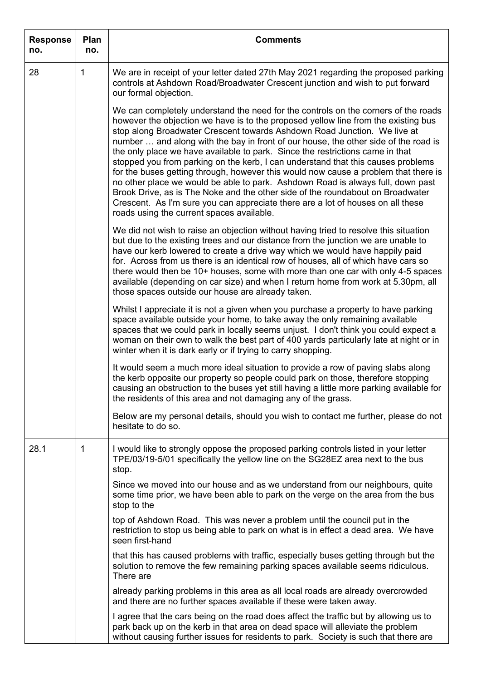| <b>Response</b><br>no. | Plan<br>no. | <b>Comments</b>                                                                                                                                                                                                                                                                                                                                                                                                                                                                                                                                                                                                                                                                                                                                                                                                                                                                                              |
|------------------------|-------------|--------------------------------------------------------------------------------------------------------------------------------------------------------------------------------------------------------------------------------------------------------------------------------------------------------------------------------------------------------------------------------------------------------------------------------------------------------------------------------------------------------------------------------------------------------------------------------------------------------------------------------------------------------------------------------------------------------------------------------------------------------------------------------------------------------------------------------------------------------------------------------------------------------------|
| 28                     | 1           | We are in receipt of your letter dated 27th May 2021 regarding the proposed parking<br>controls at Ashdown Road/Broadwater Crescent junction and wish to put forward<br>our formal objection.                                                                                                                                                                                                                                                                                                                                                                                                                                                                                                                                                                                                                                                                                                                |
|                        |             | We can completely understand the need for the controls on the corners of the roads<br>however the objection we have is to the proposed yellow line from the existing bus<br>stop along Broadwater Crescent towards Ashdown Road Junction. We live at<br>number  and along with the bay in front of our house, the other side of the road is<br>the only place we have available to park. Since the restrictions came in that<br>stopped you from parking on the kerb, I can understand that this causes problems<br>for the buses getting through, however this would now cause a problem that there is<br>no other place we would be able to park. Ashdown Road is always full, down past<br>Brook Drive, as is The Noke and the other side of the roundabout on Broadwater<br>Crescent. As I'm sure you can appreciate there are a lot of houses on all these<br>roads using the current spaces available. |
|                        |             | We did not wish to raise an objection without having tried to resolve this situation<br>but due to the existing trees and our distance from the junction we are unable to<br>have our kerb lowered to create a drive way which we would have happily paid<br>for. Across from us there is an identical row of houses, all of which have cars so<br>there would then be 10+ houses, some with more than one car with only 4-5 spaces<br>available (depending on car size) and when I return home from work at 5.30pm, all<br>those spaces outside our house are already taken.                                                                                                                                                                                                                                                                                                                                |
|                        |             | Whilst I appreciate it is not a given when you purchase a property to have parking<br>space available outside your home, to take away the only remaining available<br>spaces that we could park in locally seems unjust. I don't think you could expect a<br>woman on their own to walk the best part of 400 yards particularly late at night or in<br>winter when it is dark early or if trying to carry shopping.                                                                                                                                                                                                                                                                                                                                                                                                                                                                                          |
|                        |             | It would seem a much more ideal situation to provide a row of paving slabs along<br>the kerb opposite our property so people could park on those, therefore stopping<br>causing an obstruction to the buses yet still having a little more parking available for<br>the residents of this area and not damaging any of the grass.                                                                                                                                                                                                                                                                                                                                                                                                                                                                                                                                                                            |
|                        |             | Below are my personal details, should you wish to contact me further, please do not<br>hesitate to do so.                                                                                                                                                                                                                                                                                                                                                                                                                                                                                                                                                                                                                                                                                                                                                                                                    |
| 28.1                   | 1           | I would like to strongly oppose the proposed parking controls listed in your letter<br>TPE/03/19-5/01 specifically the yellow line on the SG28EZ area next to the bus<br>stop.                                                                                                                                                                                                                                                                                                                                                                                                                                                                                                                                                                                                                                                                                                                               |
|                        |             | Since we moved into our house and as we understand from our neighbours, quite<br>some time prior, we have been able to park on the verge on the area from the bus<br>stop to the                                                                                                                                                                                                                                                                                                                                                                                                                                                                                                                                                                                                                                                                                                                             |
|                        |             | top of Ashdown Road. This was never a problem until the council put in the<br>restriction to stop us being able to park on what is in effect a dead area. We have<br>seen first-hand                                                                                                                                                                                                                                                                                                                                                                                                                                                                                                                                                                                                                                                                                                                         |
|                        |             | that this has caused problems with traffic, especially buses getting through but the<br>solution to remove the few remaining parking spaces available seems ridiculous.<br>There are                                                                                                                                                                                                                                                                                                                                                                                                                                                                                                                                                                                                                                                                                                                         |
|                        |             | already parking problems in this area as all local roads are already overcrowded<br>and there are no further spaces available if these were taken away.                                                                                                                                                                                                                                                                                                                                                                                                                                                                                                                                                                                                                                                                                                                                                      |
|                        |             | I agree that the cars being on the road does affect the traffic but by allowing us to<br>park back up on the kerb in that area on dead space will alleviate the problem<br>without causing further issues for residents to park. Society is such that there are                                                                                                                                                                                                                                                                                                                                                                                                                                                                                                                                                                                                                                              |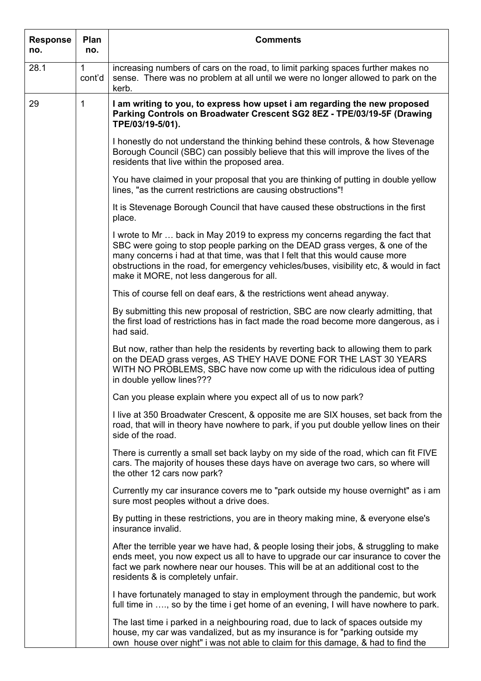| <b>Response</b><br>no. | Plan<br>no.            | <b>Comments</b>                                                                                                                                                                                                                                                                                                                                                                        |
|------------------------|------------------------|----------------------------------------------------------------------------------------------------------------------------------------------------------------------------------------------------------------------------------------------------------------------------------------------------------------------------------------------------------------------------------------|
| 28.1                   | $\mathbf{1}$<br>cont'd | increasing numbers of cars on the road, to limit parking spaces further makes no<br>sense. There was no problem at all until we were no longer allowed to park on the<br>kerb.                                                                                                                                                                                                         |
| 29                     | 1                      | I am writing to you, to express how upset i am regarding the new proposed<br>Parking Controls on Broadwater Crescent SG2 8EZ - TPE/03/19-5F (Drawing<br>TPE/03/19-5/01).                                                                                                                                                                                                               |
|                        |                        | I honestly do not understand the thinking behind these controls, & how Stevenage<br>Borough Council (SBC) can possibly believe that this will improve the lives of the<br>residents that live within the proposed area.                                                                                                                                                                |
|                        |                        | You have claimed in your proposal that you are thinking of putting in double yellow<br>lines, "as the current restrictions are causing obstructions"!                                                                                                                                                                                                                                  |
|                        |                        | It is Stevenage Borough Council that have caused these obstructions in the first<br>place.                                                                                                                                                                                                                                                                                             |
|                        |                        | I wrote to Mr  back in May 2019 to express my concerns regarding the fact that<br>SBC were going to stop people parking on the DEAD grass verges, & one of the<br>many concerns i had at that time, was that I felt that this would cause more<br>obstructions in the road, for emergency vehicles/buses, visibility etc, & would in fact<br>make it MORE, not less dangerous for all. |
|                        |                        | This of course fell on deaf ears, & the restrictions went ahead anyway.                                                                                                                                                                                                                                                                                                                |
|                        |                        | By submitting this new proposal of restriction, SBC are now clearly admitting, that<br>the first load of restrictions has in fact made the road become more dangerous, as i<br>had said.                                                                                                                                                                                               |
|                        |                        | But now, rather than help the residents by reverting back to allowing them to park<br>on the DEAD grass verges, AS THEY HAVE DONE FOR THE LAST 30 YEARS<br>WITH NO PROBLEMS, SBC have now come up with the ridiculous idea of putting<br>in double yellow lines???                                                                                                                     |
|                        |                        | Can you please explain where you expect all of us to now park?                                                                                                                                                                                                                                                                                                                         |
|                        |                        | I live at 350 Broadwater Crescent, & opposite me are SIX houses, set back from the<br>road, that will in theory have nowhere to park, if you put double yellow lines on their<br>side of the road.                                                                                                                                                                                     |
|                        |                        | There is currently a small set back layby on my side of the road, which can fit FIVE<br>cars. The majority of houses these days have on average two cars, so where will<br>the other 12 cars now park?                                                                                                                                                                                 |
|                        |                        | Currently my car insurance covers me to "park outside my house overnight" as i am<br>sure most peoples without a drive does.                                                                                                                                                                                                                                                           |
|                        |                        | By putting in these restrictions, you are in theory making mine, & everyone else's<br>insurance invalid.                                                                                                                                                                                                                                                                               |
|                        |                        | After the terrible year we have had, & people losing their jobs, & struggling to make<br>ends meet, you now expect us all to have to upgrade our car insurance to cover the<br>fact we park nowhere near our houses. This will be at an additional cost to the<br>residents & is completely unfair.                                                                                    |
|                        |                        | I have fortunately managed to stay in employment through the pandemic, but work<br>full time in , so by the time i get home of an evening, I will have nowhere to park.                                                                                                                                                                                                                |
|                        |                        | The last time i parked in a neighbouring road, due to lack of spaces outside my<br>house, my car was vandalized, but as my insurance is for "parking outside my<br>own house over night" i was not able to claim for this damage, & had to find the                                                                                                                                    |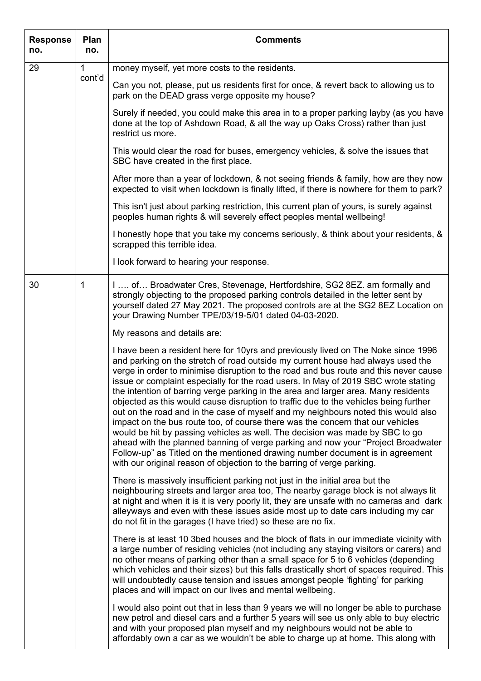| <b>Response</b><br>no. | Plan<br>no. | <b>Comments</b>                                                                                                                                                                                                                                                                                                                                                                                                                                                                                                                                                                                                                                                                                                                                                                                                                                                                                                                                                                                                                        |
|------------------------|-------------|----------------------------------------------------------------------------------------------------------------------------------------------------------------------------------------------------------------------------------------------------------------------------------------------------------------------------------------------------------------------------------------------------------------------------------------------------------------------------------------------------------------------------------------------------------------------------------------------------------------------------------------------------------------------------------------------------------------------------------------------------------------------------------------------------------------------------------------------------------------------------------------------------------------------------------------------------------------------------------------------------------------------------------------|
| 29                     | 1           | money myself, yet more costs to the residents.                                                                                                                                                                                                                                                                                                                                                                                                                                                                                                                                                                                                                                                                                                                                                                                                                                                                                                                                                                                         |
|                        | cont'd      | Can you not, please, put us residents first for once, & revert back to allowing us to<br>park on the DEAD grass verge opposite my house?                                                                                                                                                                                                                                                                                                                                                                                                                                                                                                                                                                                                                                                                                                                                                                                                                                                                                               |
|                        |             | Surely if needed, you could make this area in to a proper parking layby (as you have<br>done at the top of Ashdown Road, & all the way up Oaks Cross) rather than just<br>restrict us more.                                                                                                                                                                                                                                                                                                                                                                                                                                                                                                                                                                                                                                                                                                                                                                                                                                            |
|                        |             | This would clear the road for buses, emergency vehicles, & solve the issues that<br>SBC have created in the first place.                                                                                                                                                                                                                                                                                                                                                                                                                                                                                                                                                                                                                                                                                                                                                                                                                                                                                                               |
|                        |             | After more than a year of lockdown, & not seeing friends & family, how are they now<br>expected to visit when lockdown is finally lifted, if there is nowhere for them to park?                                                                                                                                                                                                                                                                                                                                                                                                                                                                                                                                                                                                                                                                                                                                                                                                                                                        |
|                        |             | This isn't just about parking restriction, this current plan of yours, is surely against<br>peoples human rights & will severely effect peoples mental wellbeing!                                                                                                                                                                                                                                                                                                                                                                                                                                                                                                                                                                                                                                                                                                                                                                                                                                                                      |
|                        |             | I honestly hope that you take my concerns seriously, & think about your residents, &<br>scrapped this terrible idea.                                                                                                                                                                                                                                                                                                                                                                                                                                                                                                                                                                                                                                                                                                                                                                                                                                                                                                                   |
|                        |             | I look forward to hearing your response.                                                                                                                                                                                                                                                                                                                                                                                                                                                                                                                                                                                                                                                                                                                                                                                                                                                                                                                                                                                               |
| 30                     | 1           | I  of Broadwater Cres, Stevenage, Hertfordshire, SG2 8EZ. am formally and<br>strongly objecting to the proposed parking controls detailed in the letter sent by<br>yourself dated 27 May 2021. The proposed controls are at the SG2 8EZ Location on<br>your Drawing Number TPE/03/19-5/01 dated 04-03-2020.                                                                                                                                                                                                                                                                                                                                                                                                                                                                                                                                                                                                                                                                                                                            |
|                        |             | My reasons and details are:                                                                                                                                                                                                                                                                                                                                                                                                                                                                                                                                                                                                                                                                                                                                                                                                                                                                                                                                                                                                            |
|                        |             | I have been a resident here for 10yrs and previously lived on The Noke since 1996<br>and parking on the stretch of road outside my current house had always used the<br>verge in order to minimise disruption to the road and bus route and this never cause<br>issue or complaint especially for the road users. In May of 2019 SBC wrote stating<br>the intention of barring verge parking in the area and larger area. Many residents<br>objected as this would cause disruption to traffic due to the vehicles being further<br>out on the road and in the case of myself and my neighbours noted this would also<br>impact on the bus route too, of course there was the concern that our vehicles<br>would be hit by passing vehicles as well. The decision was made by SBC to go<br>ahead with the planned banning of verge parking and now your "Project Broadwater<br>Follow-up" as Titled on the mentioned drawing number document is in agreement<br>with our original reason of objection to the barring of verge parking. |
|                        |             | There is massively insufficient parking not just in the initial area but the<br>neighbouring streets and larger area too, The nearby garage block is not always lit<br>at night and when it is it is very poorly lit, they are unsafe with no cameras and dark<br>alleyways and even with these issues aside most up to date cars including my car<br>do not fit in the garages (I have tried) so these are no fix.                                                                                                                                                                                                                                                                                                                                                                                                                                                                                                                                                                                                                    |
|                        |             | There is at least 10 3bed houses and the block of flats in our immediate vicinity with<br>a large number of residing vehicles (not including any staying visitors or carers) and<br>no other means of parking other than a small space for 5 to 6 vehicles (depending<br>which vehicles and their sizes) but this falls drastically short of spaces required. This<br>will undoubtedly cause tension and issues amongst people 'fighting' for parking<br>places and will impact on our lives and mental wellbeing.                                                                                                                                                                                                                                                                                                                                                                                                                                                                                                                     |
|                        |             | I would also point out that in less than 9 years we will no longer be able to purchase<br>new petrol and diesel cars and a further 5 years will see us only able to buy electric<br>and with your proposed plan myself and my neighbours would not be able to<br>affordably own a car as we wouldn't be able to charge up at home. This along with                                                                                                                                                                                                                                                                                                                                                                                                                                                                                                                                                                                                                                                                                     |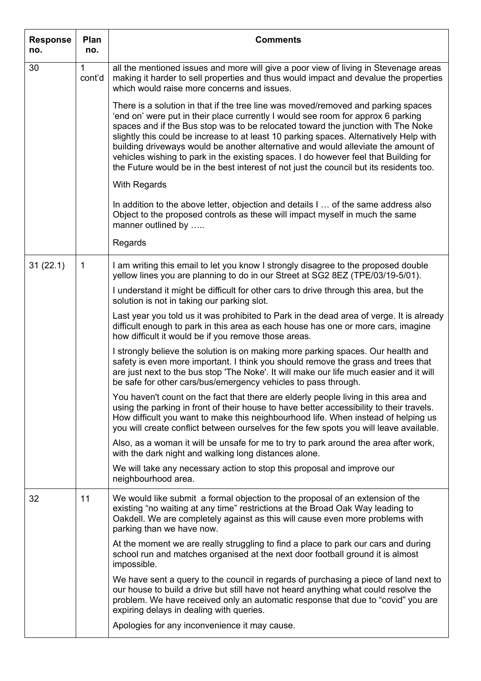| <b>Response</b><br>no. | Plan<br>no.            | <b>Comments</b>                                                                                                                                                                                                                                                                                                                                                                                                                                                                                                                                                                                                             |
|------------------------|------------------------|-----------------------------------------------------------------------------------------------------------------------------------------------------------------------------------------------------------------------------------------------------------------------------------------------------------------------------------------------------------------------------------------------------------------------------------------------------------------------------------------------------------------------------------------------------------------------------------------------------------------------------|
| 30                     | $\mathbf{1}$<br>cont'd | all the mentioned issues and more will give a poor view of living in Stevenage areas<br>making it harder to sell properties and thus would impact and devalue the properties<br>which would raise more concerns and issues.                                                                                                                                                                                                                                                                                                                                                                                                 |
|                        |                        | There is a solution in that if the tree line was moved/removed and parking spaces<br>'end on' were put in their place currently I would see room for approx 6 parking<br>spaces and if the Bus stop was to be relocated toward the junction with The Noke<br>slightly this could be increase to at least 10 parking spaces. Alternatively Help with<br>building driveways would be another alternative and would alleviate the amount of<br>vehicles wishing to park in the existing spaces. I do however feel that Building for<br>the Future would be in the best interest of not just the council but its residents too. |
|                        |                        | With Regards                                                                                                                                                                                                                                                                                                                                                                                                                                                                                                                                                                                                                |
|                        |                        | In addition to the above letter, objection and details I  of the same address also<br>Object to the proposed controls as these will impact myself in much the same<br>manner outlined by                                                                                                                                                                                                                                                                                                                                                                                                                                    |
|                        |                        | Regards                                                                                                                                                                                                                                                                                                                                                                                                                                                                                                                                                                                                                     |
| 31(22.1)               | 1                      | I am writing this email to let you know I strongly disagree to the proposed double<br>yellow lines you are planning to do in our Street at SG2 8EZ (TPE/03/19-5/01).                                                                                                                                                                                                                                                                                                                                                                                                                                                        |
|                        |                        | I understand it might be difficult for other cars to drive through this area, but the<br>solution is not in taking our parking slot.                                                                                                                                                                                                                                                                                                                                                                                                                                                                                        |
|                        |                        | Last year you told us it was prohibited to Park in the dead area of verge. It is already<br>difficult enough to park in this area as each house has one or more cars, imagine<br>how difficult it would be if you remove those areas.                                                                                                                                                                                                                                                                                                                                                                                       |
|                        |                        | I strongly believe the solution is on making more parking spaces. Our health and<br>safety is even more important. I think you should remove the grass and trees that<br>are just next to the bus stop 'The Noke'. It will make our life much easier and it will<br>be safe for other cars/bus/emergency vehicles to pass through.                                                                                                                                                                                                                                                                                          |
|                        |                        | You haven't count on the fact that there are elderly people living in this area and<br>using the parking in front of their house to have better accessibility to their travels.<br>How difficult you want to make this neighbourhood life. When instead of helping us<br>you will create conflict between ourselves for the few spots you will leave available.                                                                                                                                                                                                                                                             |
|                        |                        | Also, as a woman it will be unsafe for me to try to park around the area after work,<br>with the dark night and walking long distances alone.                                                                                                                                                                                                                                                                                                                                                                                                                                                                               |
|                        |                        | We will take any necessary action to stop this proposal and improve our<br>neighbourhood area.                                                                                                                                                                                                                                                                                                                                                                                                                                                                                                                              |
| 32                     | 11                     | We would like submit a formal objection to the proposal of an extension of the<br>existing "no waiting at any time" restrictions at the Broad Oak Way leading to<br>Oakdell. We are completely against as this will cause even more problems with<br>parking than we have now.                                                                                                                                                                                                                                                                                                                                              |
|                        |                        | At the moment we are really struggling to find a place to park our cars and during<br>school run and matches organised at the next door football ground it is almost<br>impossible.                                                                                                                                                                                                                                                                                                                                                                                                                                         |
|                        |                        | We have sent a query to the council in regards of purchasing a piece of land next to<br>our house to build a drive but still have not heard anything what could resolve the<br>problem. We have received only an automatic response that due to "covid" you are<br>expiring delays in dealing with queries.                                                                                                                                                                                                                                                                                                                 |
|                        |                        | Apologies for any inconvenience it may cause.                                                                                                                                                                                                                                                                                                                                                                                                                                                                                                                                                                               |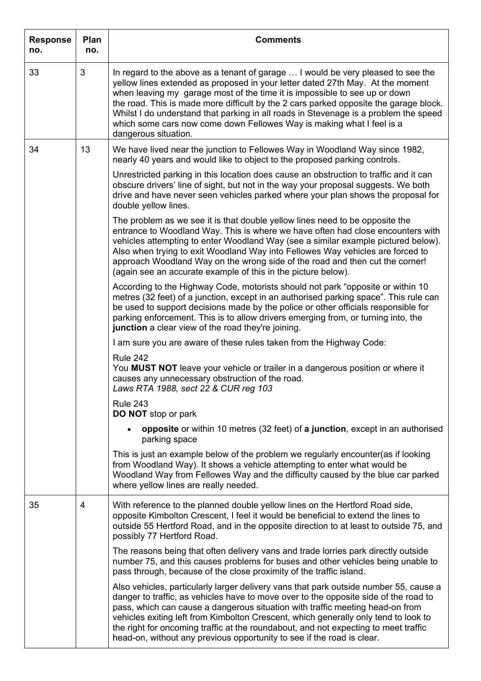| <b>Response</b><br>no. | Plan<br>no. | <b>Comments</b>                                                                                                                                                                                                                                                                                                                                                                                                                                                                                                                    |
|------------------------|-------------|------------------------------------------------------------------------------------------------------------------------------------------------------------------------------------------------------------------------------------------------------------------------------------------------------------------------------------------------------------------------------------------------------------------------------------------------------------------------------------------------------------------------------------|
| 33                     | 3           | In regard to the above as a tenant of garage  I would be very pleased to see the<br>yellow lines extended as proposed in your letter dated 27th May. At the moment<br>when leaving my garage most of the time it is impossible to see up or down<br>the road. This is made more difficult by the 2 cars parked opposite the garage block.<br>Whilst I do understand that parking in all roads in Stevenage is a problem the speed<br>which some cars now come down Fellowes Way is making what I feel is a<br>dangerous situation. |
| 34                     | 13          | We have lived near the junction to Fellowes Way in Woodland Way since 1982,<br>nearly 40 years and would like to object to the proposed parking controls.                                                                                                                                                                                                                                                                                                                                                                          |
|                        |             | Unrestricted parking in this location does cause an obstruction to traffic and it can<br>obscure drivers' line of sight, but not in the way your proposal suggests. We both<br>drive and have never seen vehicles parked where your plan shows the proposal for<br>double yellow lines.                                                                                                                                                                                                                                            |
|                        |             | The problem as we see it is that double yellow lines need to be opposite the<br>entrance to Woodland Way. This is where we have often had close encounters with<br>vehicles attempting to enter Woodland Way (see a similar example pictured below).<br>Also when trying to exit Woodland Way into Fellowes Way vehicles are forced to<br>approach Woodland Way on the wrong side of the road and then cut the corner!<br>(again see an accurate example of this in the picture below).                                            |
|                        |             | According to the Highway Code, motorists should not park "opposite or within 10<br>metres (32 feet) of a junction, except in an authorised parking space". This rule can<br>be used to support decisions made by the police or other officials responsible for<br>parking enforcement. This is to allow drivers emerging from, or turning into, the<br>junction a clear view of the road they're joining.                                                                                                                          |
|                        |             | I am sure you are aware of these rules taken from the Highway Code:                                                                                                                                                                                                                                                                                                                                                                                                                                                                |
|                        |             | <b>Rule 242</b><br>You MUST NOT leave your vehicle or trailer in a dangerous position or where it<br>causes any unnecessary obstruction of the road.<br>Laws RTA 1988, sect 22 & CUR reg 103                                                                                                                                                                                                                                                                                                                                       |
|                        |             | <b>Rule 243</b><br><b>DO NOT</b> stop or park                                                                                                                                                                                                                                                                                                                                                                                                                                                                                      |
|                        |             | <b>opposite</b> or within 10 metres (32 feet) of a junction, except in an authorised<br>$\bullet$<br>parking space                                                                                                                                                                                                                                                                                                                                                                                                                 |
|                        |             | This is just an example below of the problem we regularly encounter(as if looking<br>from Woodland Way). It shows a vehicle attempting to enter what would be<br>Woodland Way from Fellowes Way and the difficulty caused by the blue car parked<br>where yellow lines are really needed.                                                                                                                                                                                                                                          |
| 35                     | 4           | With reference to the planned double yellow lines on the Hertford Road side,<br>opposite Kimbolton Crescent, I feel it would be beneficial to extend the lines to<br>outside 55 Hertford Road, and in the opposite direction to at least to outside 75, and<br>possibly 77 Hertford Road.                                                                                                                                                                                                                                          |
|                        |             | The reasons being that often delivery vans and trade lorries park directly outside<br>number 75, and this causes problems for buses and other vehicles being unable to<br>pass through, because of the close proximity of the traffic island.                                                                                                                                                                                                                                                                                      |
|                        |             | Also vehicles, particularly larger delivery vans that park outside number 55, cause a<br>danger to traffic, as vehicles have to move over to the opposite side of the road to<br>pass, which can cause a dangerous situation with traffic meeting head-on from<br>vehicles exiting left from Kimbolton Crescent, which generally only tend to look to<br>the right for oncoming traffic at the roundabout, and not expecting to meet traffic<br>head-on, without any previous opportunity to see if the road is clear.             |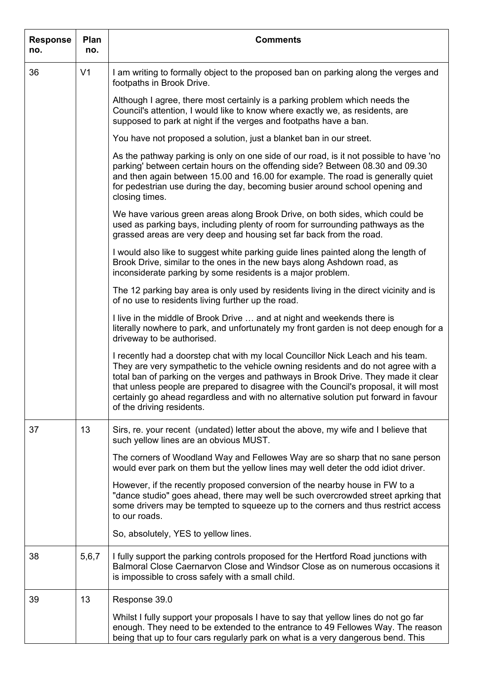| <b>Response</b><br>no. | Plan<br>no.    | <b>Comments</b>                                                                                                                                                                                                                                                                                                                                                                                                                                                           |
|------------------------|----------------|---------------------------------------------------------------------------------------------------------------------------------------------------------------------------------------------------------------------------------------------------------------------------------------------------------------------------------------------------------------------------------------------------------------------------------------------------------------------------|
| 36                     | V <sub>1</sub> | I am writing to formally object to the proposed ban on parking along the verges and<br>footpaths in Brook Drive.                                                                                                                                                                                                                                                                                                                                                          |
|                        |                | Although I agree, there most certainly is a parking problem which needs the<br>Council's attention, I would like to know where exactly we, as residents, are<br>supposed to park at night if the verges and footpaths have a ban.                                                                                                                                                                                                                                         |
|                        |                | You have not proposed a solution, just a blanket ban in our street.                                                                                                                                                                                                                                                                                                                                                                                                       |
|                        |                | As the pathway parking is only on one side of our road, is it not possible to have 'no<br>parking' between certain hours on the offending side? Between 08.30 and 09.30<br>and then again between 15.00 and 16.00 for example. The road is generally quiet<br>for pedestrian use during the day, becoming busier around school opening and<br>closing times.                                                                                                              |
|                        |                | We have various green areas along Brook Drive, on both sides, which could be<br>used as parking bays, including plenty of room for surrounding pathways as the<br>grassed areas are very deep and housing set far back from the road.                                                                                                                                                                                                                                     |
|                        |                | I would also like to suggest white parking guide lines painted along the length of<br>Brook Drive, similar to the ones in the new bays along Ashdown road, as<br>inconsiderate parking by some residents is a major problem.                                                                                                                                                                                                                                              |
|                        |                | The 12 parking bay area is only used by residents living in the direct vicinity and is<br>of no use to residents living further up the road.                                                                                                                                                                                                                                                                                                                              |
|                        |                | I live in the middle of Brook Drive  and at night and weekends there is<br>literally nowhere to park, and unfortunately my front garden is not deep enough for a<br>driveway to be authorised.                                                                                                                                                                                                                                                                            |
|                        |                | I recently had a doorstep chat with my local Councillor Nick Leach and his team.<br>They are very sympathetic to the vehicle owning residents and do not agree with a<br>total ban of parking on the verges and pathways in Brook Drive. They made it clear<br>that unless people are prepared to disagree with the Council's proposal, it will most<br>certainly go ahead regardless and with no alternative solution put forward in favour<br>of the driving residents. |
| 37                     | 13             | Sirs, re. your recent (undated) letter about the above, my wife and I believe that<br>such yellow lines are an obvious MUST.                                                                                                                                                                                                                                                                                                                                              |
|                        |                | The corners of Woodland Way and Fellowes Way are so sharp that no sane person<br>would ever park on them but the yellow lines may well deter the odd idiot driver.                                                                                                                                                                                                                                                                                                        |
|                        |                | However, if the recently proposed conversion of the nearby house in FW to a<br>"dance studio" goes ahead, there may well be such overcrowded street aprking that<br>some drivers may be tempted to squeeze up to the corners and thus restrict access<br>to our roads.                                                                                                                                                                                                    |
|                        |                | So, absolutely, YES to yellow lines.                                                                                                                                                                                                                                                                                                                                                                                                                                      |
| 38                     | 5,6,7          | I fully support the parking controls proposed for the Hertford Road junctions with<br>Balmoral Close Caernarvon Close and Windsor Close as on numerous occasions it<br>is impossible to cross safely with a small child.                                                                                                                                                                                                                                                  |
| 39                     | 13             | Response 39.0                                                                                                                                                                                                                                                                                                                                                                                                                                                             |
|                        |                | Whilst I fully support your proposals I have to say that yellow lines do not go far<br>enough. They need to be extended to the entrance to 49 Fellowes Way. The reason<br>being that up to four cars regularly park on what is a very dangerous bend. This                                                                                                                                                                                                                |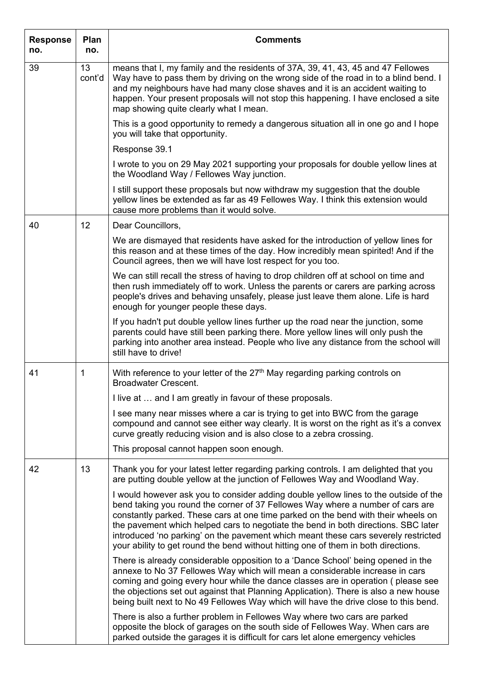| <b>Response</b><br>no. | Plan<br>no.  | <b>Comments</b>                                                                                                                                                                                                                                                                                                                                                                                                                                                                                                               |
|------------------------|--------------|-------------------------------------------------------------------------------------------------------------------------------------------------------------------------------------------------------------------------------------------------------------------------------------------------------------------------------------------------------------------------------------------------------------------------------------------------------------------------------------------------------------------------------|
| 39                     | 13<br>cont'd | means that I, my family and the residents of 37A, 39, 41, 43, 45 and 47 Fellowes<br>Way have to pass them by driving on the wrong side of the road in to a blind bend. I<br>and my neighbours have had many close shaves and it is an accident waiting to<br>happen. Your present proposals will not stop this happening. I have enclosed a site<br>map showing quite clearly what I mean.                                                                                                                                    |
|                        |              | This is a good opportunity to remedy a dangerous situation all in one go and I hope<br>you will take that opportunity.                                                                                                                                                                                                                                                                                                                                                                                                        |
|                        |              | Response 39.1                                                                                                                                                                                                                                                                                                                                                                                                                                                                                                                 |
|                        |              | I wrote to you on 29 May 2021 supporting your proposals for double yellow lines at<br>the Woodland Way / Fellowes Way junction.                                                                                                                                                                                                                                                                                                                                                                                               |
|                        |              | I still support these proposals but now withdraw my suggestion that the double<br>yellow lines be extended as far as 49 Fellowes Way. I think this extension would<br>cause more problems than it would solve.                                                                                                                                                                                                                                                                                                                |
| 40                     | 12           | Dear Councillors,                                                                                                                                                                                                                                                                                                                                                                                                                                                                                                             |
|                        |              | We are dismayed that residents have asked for the introduction of yellow lines for<br>this reason and at these times of the day. How incredibly mean spirited! And if the<br>Council agrees, then we will have lost respect for you too.                                                                                                                                                                                                                                                                                      |
|                        |              | We can still recall the stress of having to drop children off at school on time and<br>then rush immediately off to work. Unless the parents or carers are parking across<br>people's drives and behaving unsafely, please just leave them alone. Life is hard<br>enough for younger people these days.                                                                                                                                                                                                                       |
|                        |              | If you hadn't put double yellow lines further up the road near the junction, some<br>parents could have still been parking there. More yellow lines will only push the<br>parking into another area instead. People who live any distance from the school will<br>still have to drive!                                                                                                                                                                                                                                        |
| 41                     | 1            | With reference to your letter of the 27 <sup>th</sup> May regarding parking controls on<br><b>Broadwater Crescent.</b>                                                                                                                                                                                                                                                                                                                                                                                                        |
|                        |              | I live at  and I am greatly in favour of these proposals.                                                                                                                                                                                                                                                                                                                                                                                                                                                                     |
|                        |              | I see many near misses where a car is trying to get into BWC from the garage<br>compound and cannot see either way clearly. It is worst on the right as it's a convex<br>curve greatly reducing vision and is also close to a zebra crossing.                                                                                                                                                                                                                                                                                 |
|                        |              | This proposal cannot happen soon enough.                                                                                                                                                                                                                                                                                                                                                                                                                                                                                      |
| 42                     | 13           | Thank you for your latest letter regarding parking controls. I am delighted that you<br>are putting double yellow at the junction of Fellowes Way and Woodland Way.                                                                                                                                                                                                                                                                                                                                                           |
|                        |              | I would however ask you to consider adding double yellow lines to the outside of the<br>bend taking you round the corner of 37 Fellowes Way where a number of cars are<br>constantly parked. These cars at one time parked on the bend with their wheels on<br>the pavement which helped cars to negotiate the bend in both directions. SBC later<br>introduced 'no parking' on the pavement which meant these cars severely restricted<br>your ability to get round the bend without hitting one of them in both directions. |
|                        |              | There is already considerable opposition to a 'Dance School' being opened in the<br>annexe to No 37 Fellowes Way which will mean a considerable increase in cars<br>coming and going every hour while the dance classes are in operation (please see<br>the objections set out against that Planning Application). There is also a new house<br>being built next to No 49 Fellowes Way which will have the drive close to this bend.                                                                                          |
|                        |              | There is also a further problem in Fellowes Way where two cars are parked<br>opposite the block of garages on the south side of Fellowes Way. When cars are<br>parked outside the garages it is difficult for cars let alone emergency vehicles                                                                                                                                                                                                                                                                               |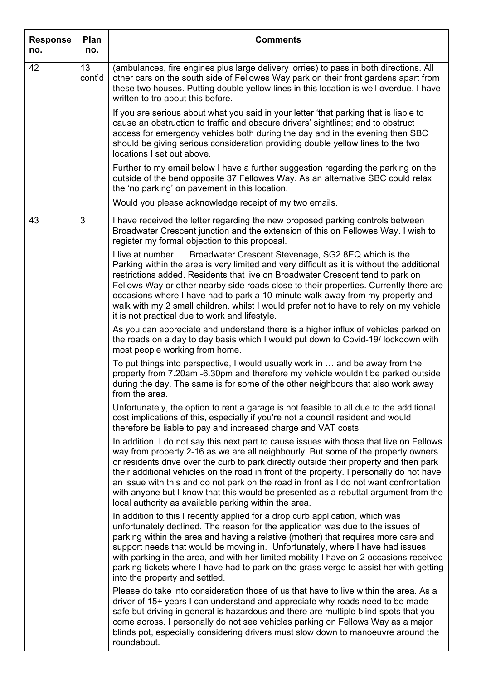| <b>Response</b><br>no. | Plan<br>no.  | <b>Comments</b>                                                                                                                                                                                                                                                                                                                                                                                                                                                                                                                                                                                               |
|------------------------|--------------|---------------------------------------------------------------------------------------------------------------------------------------------------------------------------------------------------------------------------------------------------------------------------------------------------------------------------------------------------------------------------------------------------------------------------------------------------------------------------------------------------------------------------------------------------------------------------------------------------------------|
| 42                     | 13<br>cont'd | (ambulances, fire engines plus large delivery lorries) to pass in both directions. All<br>other cars on the south side of Fellowes Way park on their front gardens apart from<br>these two houses. Putting double yellow lines in this location is well overdue. I have<br>written to tro about this before.                                                                                                                                                                                                                                                                                                  |
|                        |              | If you are serious about what you said in your letter 'that parking that is liable to<br>cause an obstruction to traffic and obscure drivers' sightlines; and to obstruct<br>access for emergency vehicles both during the day and in the evening then SBC<br>should be giving serious consideration providing double yellow lines to the two<br>locations I set out above.                                                                                                                                                                                                                                   |
|                        |              | Further to my email below I have a further suggestion regarding the parking on the<br>outside of the bend opposite 37 Fellowes Way. As an alternative SBC could relax<br>the 'no parking' on pavement in this location.                                                                                                                                                                                                                                                                                                                                                                                       |
|                        |              | Would you please acknowledge receipt of my two emails.                                                                                                                                                                                                                                                                                                                                                                                                                                                                                                                                                        |
| 43                     | 3            | I have received the letter regarding the new proposed parking controls between<br>Broadwater Crescent junction and the extension of this on Fellowes Way. I wish to<br>register my formal objection to this proposal.                                                                                                                                                                                                                                                                                                                                                                                         |
|                        |              | I live at number  Broadwater Crescent Stevenage, SG2 8EQ which is the<br>Parking within the area is very limited and very difficult as it is without the additional<br>restrictions added. Residents that live on Broadwater Crescent tend to park on<br>Fellows Way or other nearby side roads close to their properties. Currently there are<br>occasions where I have had to park a 10-minute walk away from my property and<br>walk with my 2 small children. whilst I would prefer not to have to rely on my vehicle<br>it is not practical due to work and lifestyle.                                   |
|                        |              | As you can appreciate and understand there is a higher influx of vehicles parked on<br>the roads on a day to day basis which I would put down to Covid-19/lockdown with<br>most people working from home.                                                                                                                                                                                                                                                                                                                                                                                                     |
|                        |              | To put things into perspective, I would usually work in  and be away from the<br>property from 7.20am -6.30pm and therefore my vehicle wouldn't be parked outside<br>during the day. The same is for some of the other neighbours that also work away<br>from the area.                                                                                                                                                                                                                                                                                                                                       |
|                        |              | Unfortunately, the option to rent a garage is not feasible to all due to the additional<br>cost implications of this, especially if you're not a council resident and would<br>therefore be liable to pay and increased charge and VAT costs.                                                                                                                                                                                                                                                                                                                                                                 |
|                        |              | In addition, I do not say this next part to cause issues with those that live on Fellows<br>way from property 2-16 as we are all neighbourly. But some of the property owners<br>or residents drive over the curb to park directly outside their property and then park<br>their additional vehicles on the road in front of the property. I personally do not have<br>an issue with this and do not park on the road in front as I do not want confrontation<br>with anyone but I know that this would be presented as a rebuttal argument from the<br>local authority as available parking within the area. |
|                        |              | In addition to this I recently applied for a drop curb application, which was<br>unfortunately declined. The reason for the application was due to the issues of<br>parking within the area and having a relative (mother) that requires more care and<br>support needs that would be moving in. Unfortunately, where I have had issues<br>with parking in the area, and with her limited mobility I have on 2 occasions received<br>parking tickets where I have had to park on the grass verge to assist her with getting<br>into the property and settled.                                                 |
|                        |              | Please do take into consideration those of us that have to live within the area. As a<br>driver of 15+ years I can understand and appreciate why roads need to be made<br>safe but driving in general is hazardous and there are multiple blind spots that you<br>come across. I personally do not see vehicles parking on Fellows Way as a major<br>blinds pot, especially considering drivers must slow down to manoeuvre around the<br>roundabout.                                                                                                                                                         |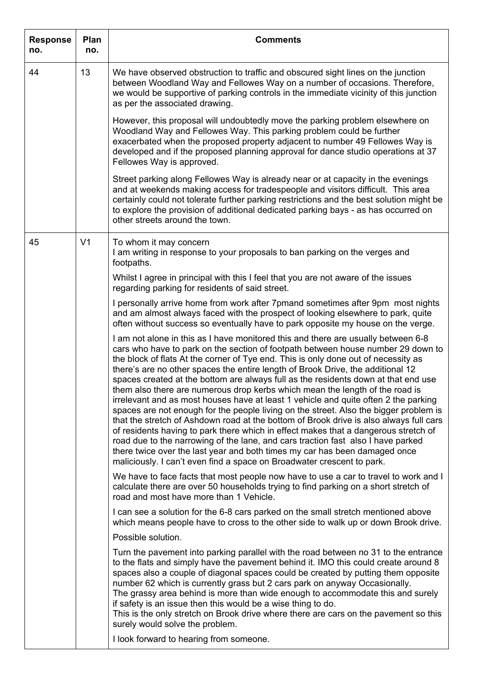| <b>Response</b><br>no. | Plan<br>no.    | <b>Comments</b>                                                                                                                                                                                                                                                                                                                                                                                                                                                                                                                                                                                                                                                                                                                                                                                                                                                                                                                                                                                                                                                                                                                   |
|------------------------|----------------|-----------------------------------------------------------------------------------------------------------------------------------------------------------------------------------------------------------------------------------------------------------------------------------------------------------------------------------------------------------------------------------------------------------------------------------------------------------------------------------------------------------------------------------------------------------------------------------------------------------------------------------------------------------------------------------------------------------------------------------------------------------------------------------------------------------------------------------------------------------------------------------------------------------------------------------------------------------------------------------------------------------------------------------------------------------------------------------------------------------------------------------|
| 44                     | 13             | We have observed obstruction to traffic and obscured sight lines on the junction<br>between Woodland Way and Fellowes Way on a number of occasions. Therefore,<br>we would be supportive of parking controls in the immediate vicinity of this junction<br>as per the associated drawing.                                                                                                                                                                                                                                                                                                                                                                                                                                                                                                                                                                                                                                                                                                                                                                                                                                         |
|                        |                | However, this proposal will undoubtedly move the parking problem elsewhere on<br>Woodland Way and Fellowes Way. This parking problem could be further<br>exacerbated when the proposed property adjacent to number 49 Fellowes Way is<br>developed and if the proposed planning approval for dance studio operations at 37<br>Fellowes Way is approved.                                                                                                                                                                                                                                                                                                                                                                                                                                                                                                                                                                                                                                                                                                                                                                           |
|                        |                | Street parking along Fellowes Way is already near or at capacity in the evenings<br>and at weekends making access for tradespeople and visitors difficult. This area<br>certainly could not tolerate further parking restrictions and the best solution might be<br>to explore the provision of additional dedicated parking bays - as has occurred on<br>other streets around the town.                                                                                                                                                                                                                                                                                                                                                                                                                                                                                                                                                                                                                                                                                                                                          |
| 45                     | V <sub>1</sub> | To whom it may concern<br>I am writing in response to your proposals to ban parking on the verges and<br>footpaths.                                                                                                                                                                                                                                                                                                                                                                                                                                                                                                                                                                                                                                                                                                                                                                                                                                                                                                                                                                                                               |
|                        |                | Whilst I agree in principal with this I feel that you are not aware of the issues<br>regarding parking for residents of said street.                                                                                                                                                                                                                                                                                                                                                                                                                                                                                                                                                                                                                                                                                                                                                                                                                                                                                                                                                                                              |
|                        |                | I personally arrive home from work after 7pmand sometimes after 9pm most nights<br>and am almost always faced with the prospect of looking elsewhere to park, quite<br>often without success so eventually have to park opposite my house on the verge.                                                                                                                                                                                                                                                                                                                                                                                                                                                                                                                                                                                                                                                                                                                                                                                                                                                                           |
|                        |                | I am not alone in this as I have monitored this and there are usually between 6-8<br>cars who have to park on the section of footpath between house number 29 down to<br>the block of flats At the corner of Tye end. This is only done out of necessity as<br>there's are no other spaces the entire length of Brook Drive, the additional 12<br>spaces created at the bottom are always full as the residents down at that end use<br>them also there are numerous drop kerbs which mean the length of the road is<br>irrelevant and as most houses have at least 1 vehicle and quite often 2 the parking<br>spaces are not enough for the people living on the street. Also the bigger problem is<br>that the stretch of Ashdown road at the bottom of Brook drive is also always full cars<br>of residents having to park there which in effect makes that a dangerous stretch of<br>road due to the narrowing of the lane, and cars traction fast also I have parked<br>there twice over the last year and both times my car has been damaged once<br>maliciously. I can't even find a space on Broadwater crescent to park. |
|                        |                | We have to face facts that most people now have to use a car to travel to work and I<br>calculate there are over 50 households trying to find parking on a short stretch of<br>road and most have more than 1 Vehicle.                                                                                                                                                                                                                                                                                                                                                                                                                                                                                                                                                                                                                                                                                                                                                                                                                                                                                                            |
|                        |                | I can see a solution for the 6-8 cars parked on the small stretch mentioned above<br>which means people have to cross to the other side to walk up or down Brook drive.                                                                                                                                                                                                                                                                                                                                                                                                                                                                                                                                                                                                                                                                                                                                                                                                                                                                                                                                                           |
|                        |                | Possible solution.                                                                                                                                                                                                                                                                                                                                                                                                                                                                                                                                                                                                                                                                                                                                                                                                                                                                                                                                                                                                                                                                                                                |
|                        |                | Turn the pavement into parking parallel with the road between no 31 to the entrance<br>to the flats and simply have the pavement behind it. IMO this could create around 8<br>spaces also a couple of diagonal spaces could be created by putting them opposite<br>number 62 which is currently grass but 2 cars park on anyway Occasionally.<br>The grassy area behind is more than wide enough to accommodate this and surely<br>if safety is an issue then this would be a wise thing to do.<br>This is the only stretch on Brook drive where there are cars on the pavement so this<br>surely would solve the problem.                                                                                                                                                                                                                                                                                                                                                                                                                                                                                                        |
|                        |                | I look forward to hearing from someone.                                                                                                                                                                                                                                                                                                                                                                                                                                                                                                                                                                                                                                                                                                                                                                                                                                                                                                                                                                                                                                                                                           |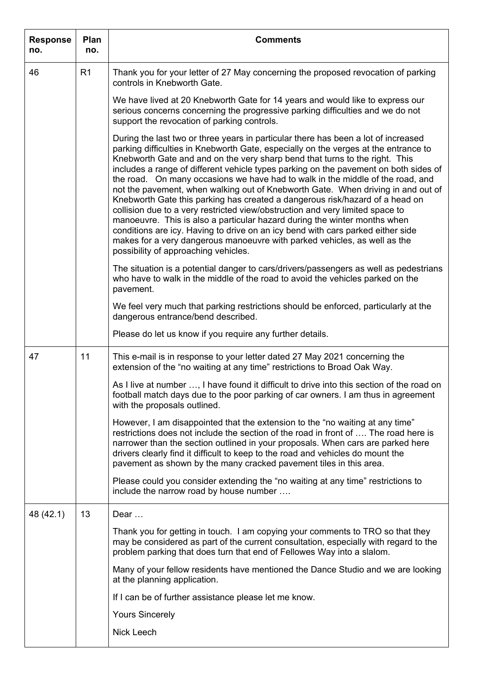| <b>Response</b><br>no. | Plan<br>no. | <b>Comments</b>                                                                                                                                                                                                                                                                                                                                                                                                                                                                                                                                                                                                                                                                                                                                                                                                                                                                                                                                                              |
|------------------------|-------------|------------------------------------------------------------------------------------------------------------------------------------------------------------------------------------------------------------------------------------------------------------------------------------------------------------------------------------------------------------------------------------------------------------------------------------------------------------------------------------------------------------------------------------------------------------------------------------------------------------------------------------------------------------------------------------------------------------------------------------------------------------------------------------------------------------------------------------------------------------------------------------------------------------------------------------------------------------------------------|
| 46                     | R1          | Thank you for your letter of 27 May concerning the proposed revocation of parking<br>controls in Knebworth Gate.                                                                                                                                                                                                                                                                                                                                                                                                                                                                                                                                                                                                                                                                                                                                                                                                                                                             |
|                        |             | We have lived at 20 Knebworth Gate for 14 years and would like to express our<br>serious concerns concerning the progressive parking difficulties and we do not<br>support the revocation of parking controls.                                                                                                                                                                                                                                                                                                                                                                                                                                                                                                                                                                                                                                                                                                                                                               |
|                        |             | During the last two or three years in particular there has been a lot of increased<br>parking difficulties in Knebworth Gate, especially on the verges at the entrance to<br>Knebworth Gate and and on the very sharp bend that turns to the right. This<br>includes a range of different vehicle types parking on the pavement on both sides of<br>the road. On many occasions we have had to walk in the middle of the road, and<br>not the pavement, when walking out of Knebworth Gate. When driving in and out of<br>Knebworth Gate this parking has created a dangerous risk/hazard of a head on<br>collision due to a very restricted view/obstruction and very limited space to<br>manoeuvre. This is also a particular hazard during the winter months when<br>conditions are icy. Having to drive on an icy bend with cars parked either side<br>makes for a very dangerous manoeuvre with parked vehicles, as well as the<br>possibility of approaching vehicles. |
|                        |             | The situation is a potential danger to cars/drivers/passengers as well as pedestrians<br>who have to walk in the middle of the road to avoid the vehicles parked on the<br>pavement.                                                                                                                                                                                                                                                                                                                                                                                                                                                                                                                                                                                                                                                                                                                                                                                         |
|                        |             | We feel very much that parking restrictions should be enforced, particularly at the<br>dangerous entrance/bend described.                                                                                                                                                                                                                                                                                                                                                                                                                                                                                                                                                                                                                                                                                                                                                                                                                                                    |
|                        |             | Please do let us know if you require any further details.                                                                                                                                                                                                                                                                                                                                                                                                                                                                                                                                                                                                                                                                                                                                                                                                                                                                                                                    |
| 47                     | 11          | This e-mail is in response to your letter dated 27 May 2021 concerning the<br>extension of the "no waiting at any time" restrictions to Broad Oak Way.                                                                                                                                                                                                                                                                                                                                                                                                                                                                                                                                                                                                                                                                                                                                                                                                                       |
|                        |             | As I live at number , I have found it difficult to drive into this section of the road on<br>football match days due to the poor parking of car owners. I am thus in agreement<br>with the proposals outlined.                                                                                                                                                                                                                                                                                                                                                                                                                                                                                                                                                                                                                                                                                                                                                               |
|                        |             | However, I am disappointed that the extension to the "no waiting at any time"<br>restrictions does not include the section of the road in front of  The road here is<br>narrower than the section outlined in your proposals. When cars are parked here<br>drivers clearly find it difficult to keep to the road and vehicles do mount the<br>pavement as shown by the many cracked pavement tiles in this area.                                                                                                                                                                                                                                                                                                                                                                                                                                                                                                                                                             |
|                        |             | Please could you consider extending the "no waiting at any time" restrictions to<br>include the narrow road by house number                                                                                                                                                                                                                                                                                                                                                                                                                                                                                                                                                                                                                                                                                                                                                                                                                                                  |
| 48 (42.1)              | 13          | Dear                                                                                                                                                                                                                                                                                                                                                                                                                                                                                                                                                                                                                                                                                                                                                                                                                                                                                                                                                                         |
|                        |             | Thank you for getting in touch. I am copying your comments to TRO so that they<br>may be considered as part of the current consultation, especially with regard to the<br>problem parking that does turn that end of Fellowes Way into a slalom.                                                                                                                                                                                                                                                                                                                                                                                                                                                                                                                                                                                                                                                                                                                             |
|                        |             | Many of your fellow residents have mentioned the Dance Studio and we are looking<br>at the planning application.                                                                                                                                                                                                                                                                                                                                                                                                                                                                                                                                                                                                                                                                                                                                                                                                                                                             |
|                        |             | If I can be of further assistance please let me know.                                                                                                                                                                                                                                                                                                                                                                                                                                                                                                                                                                                                                                                                                                                                                                                                                                                                                                                        |
|                        |             | <b>Yours Sincerely</b>                                                                                                                                                                                                                                                                                                                                                                                                                                                                                                                                                                                                                                                                                                                                                                                                                                                                                                                                                       |
|                        |             | <b>Nick Leech</b>                                                                                                                                                                                                                                                                                                                                                                                                                                                                                                                                                                                                                                                                                                                                                                                                                                                                                                                                                            |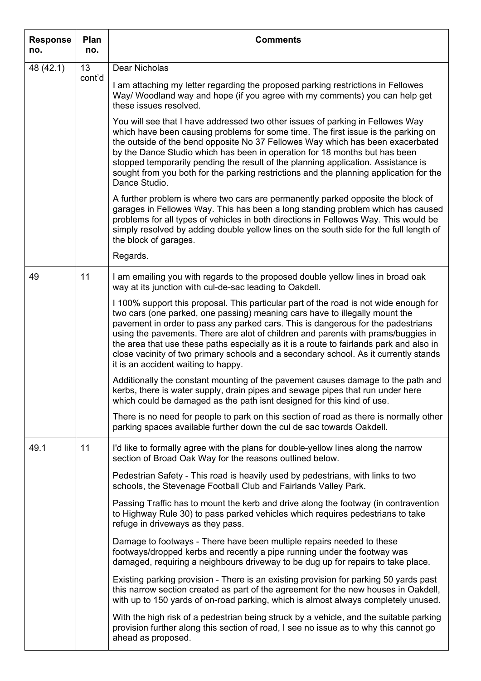| <b>Response</b><br>no. | Plan<br>no. | <b>Comments</b>                                                                                                                                                                                                                                                                                                                                                                                                                                                                                                                                                         |
|------------------------|-------------|-------------------------------------------------------------------------------------------------------------------------------------------------------------------------------------------------------------------------------------------------------------------------------------------------------------------------------------------------------------------------------------------------------------------------------------------------------------------------------------------------------------------------------------------------------------------------|
| 48 (42.1)              | 13          | Dear Nicholas                                                                                                                                                                                                                                                                                                                                                                                                                                                                                                                                                           |
|                        | cont'd      | I am attaching my letter regarding the proposed parking restrictions in Fellowes<br>Way/ Woodland way and hope (if you agree with my comments) you can help get<br>these issues resolved.                                                                                                                                                                                                                                                                                                                                                                               |
|                        |             | You will see that I have addressed two other issues of parking in Fellowes Way<br>which have been causing problems for some time. The first issue is the parking on<br>the outside of the bend opposite No 37 Fellowes Way which has been exacerbated<br>by the Dance Studio which has been in operation for 18 months but has been<br>stopped temporarily pending the result of the planning application. Assistance is<br>sought from you both for the parking restrictions and the planning application for the<br>Dance Studio.                                     |
|                        |             | A further problem is where two cars are permanently parked opposite the block of<br>garages in Fellowes Way. This has been a long standing problem which has caused<br>problems for all types of vehicles in both directions in Fellowes Way. This would be<br>simply resolved by adding double yellow lines on the south side for the full length of<br>the block of garages.                                                                                                                                                                                          |
|                        |             | Regards.                                                                                                                                                                                                                                                                                                                                                                                                                                                                                                                                                                |
| 49                     | 11          | I am emailing you with regards to the proposed double yellow lines in broad oak<br>way at its junction with cul-de-sac leading to Oakdell.                                                                                                                                                                                                                                                                                                                                                                                                                              |
|                        |             | I 100% support this proposal. This particular part of the road is not wide enough for<br>two cars (one parked, one passing) meaning cars have to illegally mount the<br>pavement in order to pass any parked cars. This is dangerous for the padestrians<br>using the pavements. There are alot of children and parents with prams/buggies in<br>the area that use these paths especially as it is a route to fairlands park and also in<br>close vacinity of two primary schools and a secondary school. As it currently stands<br>it is an accident waiting to happy. |
|                        |             | Additionally the constant mounting of the pavement causes damage to the path and<br>kerbs, there is water supply, drain pipes and sewage pipes that run under here<br>which could be damaged as the path isnt designed for this kind of use.                                                                                                                                                                                                                                                                                                                            |
|                        |             | There is no need for people to park on this section of road as there is normally other<br>parking spaces available further down the cul de sac towards Oakdell.                                                                                                                                                                                                                                                                                                                                                                                                         |
| 49.1                   | 11          | I'd like to formally agree with the plans for double-yellow lines along the narrow<br>section of Broad Oak Way for the reasons outlined below.                                                                                                                                                                                                                                                                                                                                                                                                                          |
|                        |             | Pedestrian Safety - This road is heavily used by pedestrians, with links to two<br>schools, the Stevenage Football Club and Fairlands Valley Park.                                                                                                                                                                                                                                                                                                                                                                                                                      |
|                        |             | Passing Traffic has to mount the kerb and drive along the footway (in contravention<br>to Highway Rule 30) to pass parked vehicles which requires pedestrians to take<br>refuge in driveways as they pass.                                                                                                                                                                                                                                                                                                                                                              |
|                        |             | Damage to footways - There have been multiple repairs needed to these<br>footways/dropped kerbs and recently a pipe running under the footway was<br>damaged, requiring a neighbours driveway to be dug up for repairs to take place.                                                                                                                                                                                                                                                                                                                                   |
|                        |             | Existing parking provision - There is an existing provision for parking 50 yards past<br>this narrow section created as part of the agreement for the new houses in Oakdell,<br>with up to 150 yards of on-road parking, which is almost always completely unused.                                                                                                                                                                                                                                                                                                      |
|                        |             | With the high risk of a pedestrian being struck by a vehicle, and the suitable parking<br>provision further along this section of road, I see no issue as to why this cannot go<br>ahead as proposed.                                                                                                                                                                                                                                                                                                                                                                   |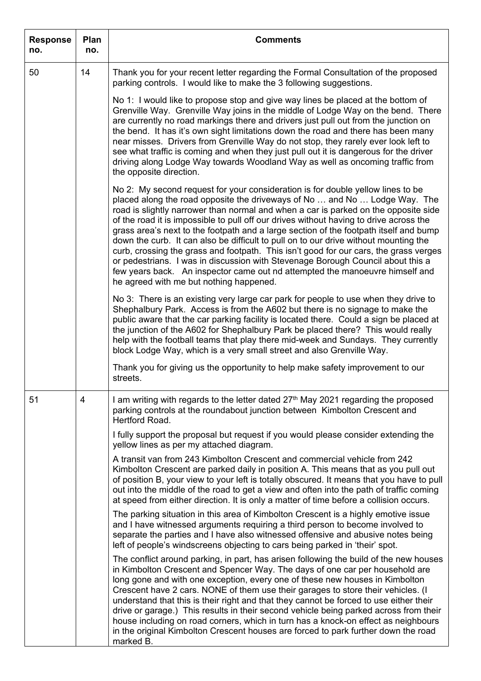| <b>Response</b><br>no. | Plan<br>no.    | <b>Comments</b>                                                                                                                                                                                                                                                                                                                                                                                                                                                                                                                                                                                                                                                                                                                                                                                                                        |
|------------------------|----------------|----------------------------------------------------------------------------------------------------------------------------------------------------------------------------------------------------------------------------------------------------------------------------------------------------------------------------------------------------------------------------------------------------------------------------------------------------------------------------------------------------------------------------------------------------------------------------------------------------------------------------------------------------------------------------------------------------------------------------------------------------------------------------------------------------------------------------------------|
| 50                     | 14             | Thank you for your recent letter regarding the Formal Consultation of the proposed<br>parking controls. I would like to make the 3 following suggestions.                                                                                                                                                                                                                                                                                                                                                                                                                                                                                                                                                                                                                                                                              |
|                        |                | No 1: I would like to propose stop and give way lines be placed at the bottom of<br>Grenville Way. Grenville Way joins in the middle of Lodge Way on the bend. There<br>are currently no road markings there and drivers just pull out from the junction on<br>the bend. It has it's own sight limitations down the road and there has been many<br>near misses. Drivers from Grenville Way do not stop, they rarely ever look left to<br>see what traffic is coming and when they just pull out it is dangerous for the driver<br>driving along Lodge Way towards Woodland Way as well as oncoming traffic from<br>the opposite direction.                                                                                                                                                                                            |
|                        |                | No 2: My second request for your consideration is for double yellow lines to be<br>placed along the road opposite the driveways of No  and No  Lodge Way. The<br>road is slightly narrower than normal and when a car is parked on the opposite side<br>of the road it is impossible to pull off our drives without having to drive across the<br>grass area's next to the footpath and a large section of the footpath itself and bump<br>down the curb. It can also be difficult to pull on to our drive without mounting the<br>curb, crossing the grass and footpath. This isn't good for our cars, the grass verges<br>or pedestrians. I was in discussion with Stevenage Borough Council about this a<br>few years back. An inspector came out nd attempted the manoeuvre himself and<br>he agreed with me but nothing happened. |
|                        |                | No 3: There is an existing very large car park for people to use when they drive to<br>Shephalbury Park. Access is from the A602 but there is no signage to make the<br>public aware that the car parking facility is located there. Could a sign be placed at<br>the junction of the A602 for Shephalbury Park be placed there? This would really<br>help with the football teams that play there mid-week and Sundays. They currently<br>block Lodge Way, which is a very small street and also Grenville Way.                                                                                                                                                                                                                                                                                                                       |
|                        |                | Thank you for giving us the opportunity to help make safety improvement to our<br>streets.                                                                                                                                                                                                                                                                                                                                                                                                                                                                                                                                                                                                                                                                                                                                             |
| 51                     | $\overline{4}$ | I am writing with regards to the letter dated 27 <sup>th</sup> May 2021 regarding the proposed<br>parking controls at the roundabout junction between Kimbolton Crescent and<br>Hertford Road.                                                                                                                                                                                                                                                                                                                                                                                                                                                                                                                                                                                                                                         |
|                        |                | I fully support the proposal but request if you would please consider extending the<br>yellow lines as per my attached diagram.                                                                                                                                                                                                                                                                                                                                                                                                                                                                                                                                                                                                                                                                                                        |
|                        |                | A transit van from 243 Kimbolton Crescent and commercial vehicle from 242<br>Kimbolton Crescent are parked daily in position A. This means that as you pull out<br>of position B, your view to your left is totally obscured. It means that you have to pull<br>out into the middle of the road to get a view and often into the path of traffic coming<br>at speed from either direction. It is only a matter of time before a collision occurs.                                                                                                                                                                                                                                                                                                                                                                                      |
|                        |                | The parking situation in this area of Kimbolton Crescent is a highly emotive issue<br>and I have witnessed arguments requiring a third person to become involved to<br>separate the parties and I have also witnessed offensive and abusive notes being<br>left of people's windscreens objecting to cars being parked in 'their' spot.                                                                                                                                                                                                                                                                                                                                                                                                                                                                                                |
|                        |                | The conflict around parking, in part, has arisen following the build of the new houses<br>in Kimbolton Crescent and Spencer Way. The days of one car per household are<br>long gone and with one exception, every one of these new houses in Kimbolton<br>Crescent have 2 cars. NONE of them use their garages to store their vehicles. (I<br>understand that this is their right and that they cannot be forced to use either their<br>drive or garage.) This results in their second vehicle being parked across from their<br>house including on road corners, which in turn has a knock-on effect as neighbours<br>in the original Kimbolton Crescent houses are forced to park further down the road<br>marked B.                                                                                                                 |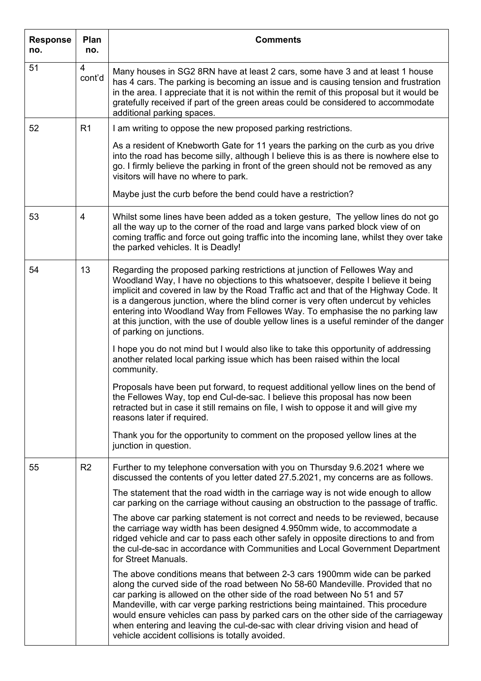| <b>Response</b><br>no. | Plan<br>no.    | <b>Comments</b>                                                                                                                                                                                                                                                                                                                                                                                                                                                                                                                                           |
|------------------------|----------------|-----------------------------------------------------------------------------------------------------------------------------------------------------------------------------------------------------------------------------------------------------------------------------------------------------------------------------------------------------------------------------------------------------------------------------------------------------------------------------------------------------------------------------------------------------------|
| 51                     | 4<br>cont'd    | Many houses in SG2 8RN have at least 2 cars, some have 3 and at least 1 house<br>has 4 cars. The parking is becoming an issue and is causing tension and frustration<br>in the area. I appreciate that it is not within the remit of this proposal but it would be<br>gratefully received if part of the green areas could be considered to accommodate<br>additional parking spaces.                                                                                                                                                                     |
| 52                     | R <sub>1</sub> | I am writing to oppose the new proposed parking restrictions.                                                                                                                                                                                                                                                                                                                                                                                                                                                                                             |
|                        |                | As a resident of Knebworth Gate for 11 years the parking on the curb as you drive<br>into the road has become silly, although I believe this is as there is nowhere else to<br>go. I firmly believe the parking in front of the green should not be removed as any<br>visitors will have no where to park.                                                                                                                                                                                                                                                |
|                        |                | Maybe just the curb before the bend could have a restriction?                                                                                                                                                                                                                                                                                                                                                                                                                                                                                             |
| 53                     | 4              | Whilst some lines have been added as a token gesture, The yellow lines do not go<br>all the way up to the corner of the road and large vans parked block view of on<br>coming traffic and force out going traffic into the incoming lane, whilst they over take<br>the parked vehicles. It is Deadly!                                                                                                                                                                                                                                                     |
| 54                     | 13             | Regarding the proposed parking restrictions at junction of Fellowes Way and<br>Woodland Way, I have no objections to this whatsoever, despite I believe it being<br>implicit and covered in law by the Road Traffic act and that of the Highway Code. It<br>is a dangerous junction, where the blind corner is very often undercut by vehicles<br>entering into Woodland Way from Fellowes Way. To emphasise the no parking law<br>at this junction, with the use of double yellow lines is a useful reminder of the danger<br>of parking on junctions.   |
|                        |                | I hope you do not mind but I would also like to take this opportunity of addressing<br>another related local parking issue which has been raised within the local<br>community.                                                                                                                                                                                                                                                                                                                                                                           |
|                        |                | Proposals have been put forward, to request additional yellow lines on the bend of<br>the Fellowes Way, top end Cul-de-sac. I believe this proposal has now been<br>retracted but in case it still remains on file, I wish to oppose it and will give my<br>reasons later if required.                                                                                                                                                                                                                                                                    |
|                        |                | Thank you for the opportunity to comment on the proposed yellow lines at the<br>junction in question.                                                                                                                                                                                                                                                                                                                                                                                                                                                     |
| 55                     | R <sub>2</sub> | Further to my telephone conversation with you on Thursday 9.6.2021 where we<br>discussed the contents of you letter dated 27.5.2021, my concerns are as follows.                                                                                                                                                                                                                                                                                                                                                                                          |
|                        |                | The statement that the road width in the carriage way is not wide enough to allow<br>car parking on the carriage without causing an obstruction to the passage of traffic.                                                                                                                                                                                                                                                                                                                                                                                |
|                        |                | The above car parking statement is not correct and needs to be reviewed, because<br>the carriage way width has been designed 4.950mm wide, to accommodate a<br>ridged vehicle and car to pass each other safely in opposite directions to and from<br>the cul-de-sac in accordance with Communities and Local Government Department<br>for Street Manuals.                                                                                                                                                                                                |
|                        |                | The above conditions means that between 2-3 cars 1900mm wide can be parked<br>along the curved side of the road between No 58-60 Mandeville. Provided that no<br>car parking is allowed on the other side of the road between No 51 and 57<br>Mandeville, with car verge parking restrictions being maintained. This procedure<br>would ensure vehicles can pass by parked cars on the other side of the carriageway<br>when entering and leaving the cul-de-sac with clear driving vision and head of<br>vehicle accident collisions is totally avoided. |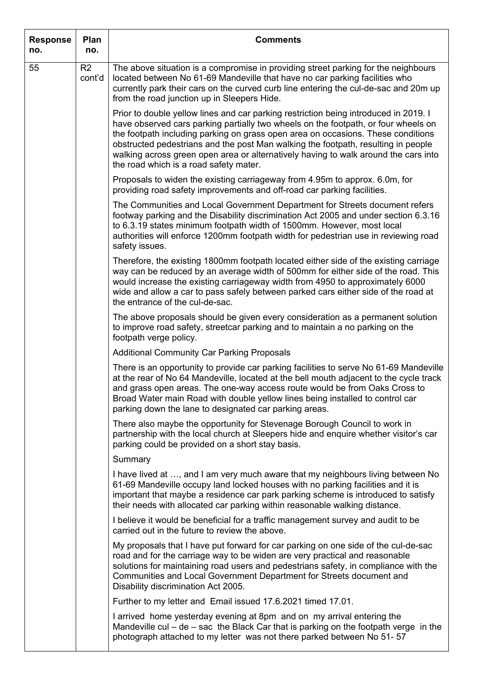| <b>Response</b><br>no. | Plan<br>no.              | <b>Comments</b>                                                                                                                                                                                                                                                                                                                                                                                                                                                                      |
|------------------------|--------------------------|--------------------------------------------------------------------------------------------------------------------------------------------------------------------------------------------------------------------------------------------------------------------------------------------------------------------------------------------------------------------------------------------------------------------------------------------------------------------------------------|
| 55                     | R <sub>2</sub><br>cont'd | The above situation is a compromise in providing street parking for the neighbours<br>located between No 61-69 Mandeville that have no car parking facilities who<br>currently park their cars on the curved curb line entering the cul-de-sac and 20m up<br>from the road junction up in Sleepers Hide.                                                                                                                                                                             |
|                        |                          | Prior to double yellow lines and car parking restriction being introduced in 2019. I<br>have observed cars parking partially two wheels on the footpath, or four wheels on<br>the footpath including parking on grass open area on occasions. These conditions<br>obstructed pedestrians and the post Man walking the footpath, resulting in people<br>walking across green open area or alternatively having to walk around the cars into<br>the road which is a road safety mater. |
|                        |                          | Proposals to widen the existing carriageway from 4.95m to approx. 6.0m, for<br>providing road safety improvements and off-road car parking facilities.                                                                                                                                                                                                                                                                                                                               |
|                        |                          | The Communities and Local Government Department for Streets document refers<br>footway parking and the Disability discrimination Act 2005 and under section 6.3.16<br>to 6.3.19 states minimum footpath width of 1500mm. However, most local<br>authorities will enforce 1200mm footpath width for pedestrian use in reviewing road<br>safety issues.                                                                                                                                |
|                        |                          | Therefore, the existing 1800mm footpath located either side of the existing carriage<br>way can be reduced by an average width of 500mm for either side of the road. This<br>would increase the existing carriageway width from 4950 to approximately 6000<br>wide and allow a car to pass safely between parked cars either side of the road at<br>the entrance of the cul-de-sac.                                                                                                  |
|                        |                          | The above proposals should be given every consideration as a permanent solution<br>to improve road safety, streetcar parking and to maintain a no parking on the<br>footpath verge policy.                                                                                                                                                                                                                                                                                           |
|                        |                          | <b>Additional Community Car Parking Proposals</b>                                                                                                                                                                                                                                                                                                                                                                                                                                    |
|                        |                          | There is an opportunity to provide car parking facilities to serve No 61-69 Mandeville<br>at the rear of No 64 Mandeville, located at the bell mouth adjacent to the cycle track<br>and grass open areas. The one-way access route would be from Oaks Cross to<br>Broad Water main Road with double yellow lines being installed to control car<br>parking down the lane to designated car parking areas.                                                                            |
|                        |                          | There also maybe the opportunity for Stevenage Borough Council to work in<br>partnership with the local church at Sleepers hide and enquire whether visitor's car<br>parking could be provided on a short stay basis.                                                                                                                                                                                                                                                                |
|                        |                          | Summary                                                                                                                                                                                                                                                                                                                                                                                                                                                                              |
|                        |                          | I have lived at , and I am very much aware that my neighbours living between No<br>61-69 Mandeville occupy land locked houses with no parking facilities and it is<br>important that maybe a residence car park parking scheme is introduced to satisfy<br>their needs with allocated car parking within reasonable walking distance.                                                                                                                                                |
|                        |                          | I believe it would be beneficial for a traffic management survey and audit to be<br>carried out in the future to review the above.                                                                                                                                                                                                                                                                                                                                                   |
|                        |                          | My proposals that I have put forward for car parking on one side of the cul-de-sac<br>road and for the carriage way to be widen are very practical and reasonable<br>solutions for maintaining road users and pedestrians safety, in compliance with the<br>Communities and Local Government Department for Streets document and<br>Disability discrimination Act 2005.                                                                                                              |
|                        |                          | Further to my letter and Email issued 17.6.2021 timed 17.01.                                                                                                                                                                                                                                                                                                                                                                                                                         |
|                        |                          | I arrived home yesterday evening at 8pm and on my arrival entering the<br>Mandeville cul $-$ de $-$ sac the Black Car that is parking on the footpath verge in the<br>photograph attached to my letter was not there parked between No 51-57                                                                                                                                                                                                                                         |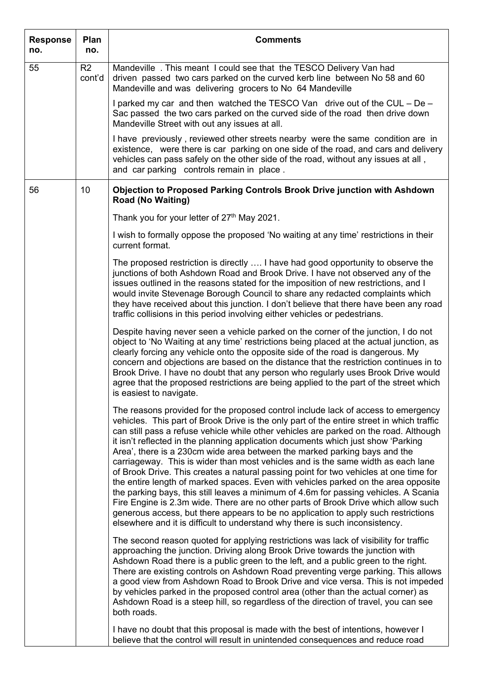| <b>Response</b><br>no. | Plan<br>no.  | <b>Comments</b>                                                                                                                                                                                                                                                                                                                                                                                                                                                                                                                                                                                                                                                                                                                                                                                                                                                                                                                                                                                                                                                  |
|------------------------|--------------|------------------------------------------------------------------------------------------------------------------------------------------------------------------------------------------------------------------------------------------------------------------------------------------------------------------------------------------------------------------------------------------------------------------------------------------------------------------------------------------------------------------------------------------------------------------------------------------------------------------------------------------------------------------------------------------------------------------------------------------------------------------------------------------------------------------------------------------------------------------------------------------------------------------------------------------------------------------------------------------------------------------------------------------------------------------|
| 55                     | R2<br>cont'd | Mandeville . This meant I could see that the TESCO Delivery Van had<br>driven passed two cars parked on the curved kerb line between No 58 and 60<br>Mandeville and was delivering grocers to No 64 Mandeville                                                                                                                                                                                                                                                                                                                                                                                                                                                                                                                                                                                                                                                                                                                                                                                                                                                   |
|                        |              | I parked my car and then watched the TESCO Van drive out of the CUL – De –<br>Sac passed the two cars parked on the curved side of the road then drive down<br>Mandeville Street with out any issues at all.                                                                                                                                                                                                                                                                                                                                                                                                                                                                                                                                                                                                                                                                                                                                                                                                                                                     |
|                        |              | I have previously, reviewed other streets nearby were the same condition are in<br>existence, were there is car parking on one side of the road, and cars and delivery<br>vehicles can pass safely on the other side of the road, without any issues at all,<br>and car parking controls remain in place.                                                                                                                                                                                                                                                                                                                                                                                                                                                                                                                                                                                                                                                                                                                                                        |
| 56                     | 10           | <b>Objection to Proposed Parking Controls Brook Drive junction with Ashdown</b><br><b>Road (No Waiting)</b>                                                                                                                                                                                                                                                                                                                                                                                                                                                                                                                                                                                                                                                                                                                                                                                                                                                                                                                                                      |
|                        |              | Thank you for your letter of 27 <sup>th</sup> May 2021.                                                                                                                                                                                                                                                                                                                                                                                                                                                                                                                                                                                                                                                                                                                                                                                                                                                                                                                                                                                                          |
|                        |              | I wish to formally oppose the proposed 'No waiting at any time' restrictions in their<br>current format.                                                                                                                                                                                                                                                                                                                                                                                                                                                                                                                                                                                                                                                                                                                                                                                                                                                                                                                                                         |
|                        |              | The proposed restriction is directly  I have had good opportunity to observe the<br>junctions of both Ashdown Road and Brook Drive. I have not observed any of the<br>issues outlined in the reasons stated for the imposition of new restrictions, and I<br>would invite Stevenage Borough Council to share any redacted complaints which<br>they have received about this junction. I don't believe that there have been any road<br>traffic collisions in this period involving either vehicles or pedestrians.                                                                                                                                                                                                                                                                                                                                                                                                                                                                                                                                               |
|                        |              | Despite having never seen a vehicle parked on the corner of the junction, I do not<br>object to 'No Waiting at any time' restrictions being placed at the actual junction, as<br>clearly forcing any vehicle onto the opposite side of the road is dangerous. My<br>concern and objections are based on the distance that the restriction continues in to<br>Brook Drive. I have no doubt that any person who regularly uses Brook Drive would<br>agree that the proposed restrictions are being applied to the part of the street which<br>is easiest to navigate.                                                                                                                                                                                                                                                                                                                                                                                                                                                                                              |
|                        |              | The reasons provided for the proposed control include lack of access to emergency<br>vehicles. This part of Brook Drive is the only part of the entire street in which traffic<br>can still pass a refuse vehicle while other vehicles are parked on the road. Although<br>it isn't reflected in the planning application documents which just show 'Parking<br>Area', there is a 230cm wide area between the marked parking bays and the<br>carriageway. This is wider than most vehicles and is the same width as each lane<br>of Brook Drive. This creates a natural passing point for two vehicles at one time for<br>the entire length of marked spaces. Even with vehicles parked on the area opposite<br>the parking bays, this still leaves a minimum of 4.6m for passing vehicles. A Scania<br>Fire Engine is 2.3m wide. There are no other parts of Brook Drive which allow such<br>generous access, but there appears to be no application to apply such restrictions<br>elsewhere and it is difficult to understand why there is such inconsistency. |
|                        |              | The second reason quoted for applying restrictions was lack of visibility for traffic<br>approaching the junction. Driving along Brook Drive towards the junction with<br>Ashdown Road there is a public green to the left, and a public green to the right.<br>There are existing controls on Ashdown Road preventing verge parking. This allows<br>a good view from Ashdown Road to Brook Drive and vice versa. This is not impeded<br>by vehicles parked in the proposed control area (other than the actual corner) as<br>Ashdown Road is a steep hill, so regardless of the direction of travel, you can see<br>both roads.                                                                                                                                                                                                                                                                                                                                                                                                                                 |
|                        |              | I have no doubt that this proposal is made with the best of intentions, however I<br>believe that the control will result in unintended consequences and reduce road                                                                                                                                                                                                                                                                                                                                                                                                                                                                                                                                                                                                                                                                                                                                                                                                                                                                                             |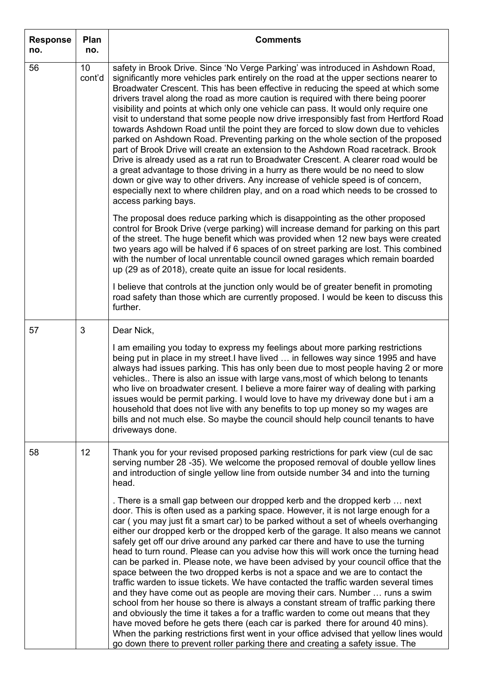| <b>Response</b><br>no. | Plan<br>no.  | <b>Comments</b>                                                                                                                                                                                                                                                                                                                                                                                                                                                                                                                                                                                                                                                                                                                                                                                                                                                                                                                                                                                                                                                                                                                                                                                                                                                                                                  |
|------------------------|--------------|------------------------------------------------------------------------------------------------------------------------------------------------------------------------------------------------------------------------------------------------------------------------------------------------------------------------------------------------------------------------------------------------------------------------------------------------------------------------------------------------------------------------------------------------------------------------------------------------------------------------------------------------------------------------------------------------------------------------------------------------------------------------------------------------------------------------------------------------------------------------------------------------------------------------------------------------------------------------------------------------------------------------------------------------------------------------------------------------------------------------------------------------------------------------------------------------------------------------------------------------------------------------------------------------------------------|
| 56                     | 10<br>cont'd | safety in Brook Drive. Since 'No Verge Parking' was introduced in Ashdown Road,<br>significantly more vehicles park entirely on the road at the upper sections nearer to<br>Broadwater Crescent. This has been effective in reducing the speed at which some<br>drivers travel along the road as more caution is required with there being poorer<br>visibility and points at which only one vehicle can pass. It would only require one<br>visit to understand that some people now drive irresponsibly fast from Hertford Road<br>towards Ashdown Road until the point they are forced to slow down due to vehicles<br>parked on Ashdown Road. Preventing parking on the whole section of the proposed<br>part of Brook Drive will create an extension to the Ashdown Road racetrack. Brook<br>Drive is already used as a rat run to Broadwater Crescent. A clearer road would be<br>a great advantage to those driving in a hurry as there would be no need to slow<br>down or give way to other drivers. Any increase of vehicle speed is of concern,<br>especially next to where children play, and on a road which needs to be crossed to<br>access parking bays.<br>The proposal does reduce parking which is disappointing as the other proposed                                                         |
|                        |              | control for Brook Drive (verge parking) will increase demand for parking on this part<br>of the street. The huge benefit which was provided when 12 new bays were created<br>two years ago will be halved if 6 spaces of on street parking are lost. This combined<br>with the number of local unrentable council owned garages which remain boarded<br>up (29 as of 2018), create quite an issue for local residents.                                                                                                                                                                                                                                                                                                                                                                                                                                                                                                                                                                                                                                                                                                                                                                                                                                                                                           |
|                        |              | I believe that controls at the junction only would be of greater benefit in promoting<br>road safety than those which are currently proposed. I would be keen to discuss this<br>further.                                                                                                                                                                                                                                                                                                                                                                                                                                                                                                                                                                                                                                                                                                                                                                                                                                                                                                                                                                                                                                                                                                                        |
| 57                     | 3            | Dear Nick,                                                                                                                                                                                                                                                                                                                                                                                                                                                                                                                                                                                                                                                                                                                                                                                                                                                                                                                                                                                                                                                                                                                                                                                                                                                                                                       |
|                        |              | I am emailing you today to express my feelings about more parking restrictions<br>being put in place in my street.I have lived  in fellowes way since 1995 and have<br>always had issues parking. This has only been due to most people having 2 or more<br>vehicles There is also an issue with large vans, most of which belong to tenants<br>who live on broadwater cresent. I believe a more fairer way of dealing with parking<br>issues would be permit parking. I would love to have my driveway done but i am a<br>household that does not live with any benefits to top up money so my wages are<br>bills and not much else. So maybe the council should help council tenants to have<br>driveways done.                                                                                                                                                                                                                                                                                                                                                                                                                                                                                                                                                                                                |
| 58                     | 12           | Thank you for your revised proposed parking restrictions for park view (cul de sac<br>serving number 28 -35). We welcome the proposed removal of double yellow lines<br>and introduction of single yellow line from outside number 34 and into the turning<br>head.                                                                                                                                                                                                                                                                                                                                                                                                                                                                                                                                                                                                                                                                                                                                                                                                                                                                                                                                                                                                                                              |
|                        |              | . There is a small gap between our dropped kerb and the dropped kerb  next<br>door. This is often used as a parking space. However, it is not large enough for a<br>car (you may just fit a smart car) to be parked without a set of wheels overhanging<br>either our dropped kerb or the dropped kerb of the garage. It also means we cannot<br>safely get off our drive around any parked car there and have to use the turning<br>head to turn round. Please can you advise how this will work once the turning head<br>can be parked in. Please note, we have been advised by your council office that the<br>space between the two dropped kerbs is not a space and we are to contact the<br>traffic warden to issue tickets. We have contacted the traffic warden several times<br>and they have come out as people are moving their cars. Number  runs a swim<br>school from her house so there is always a constant stream of traffic parking there<br>and obviously the time it takes a for a traffic warden to come out means that they<br>have moved before he gets there (each car is parked there for around 40 mins).<br>When the parking restrictions first went in your office advised that yellow lines would<br>go down there to prevent roller parking there and creating a safety issue. The |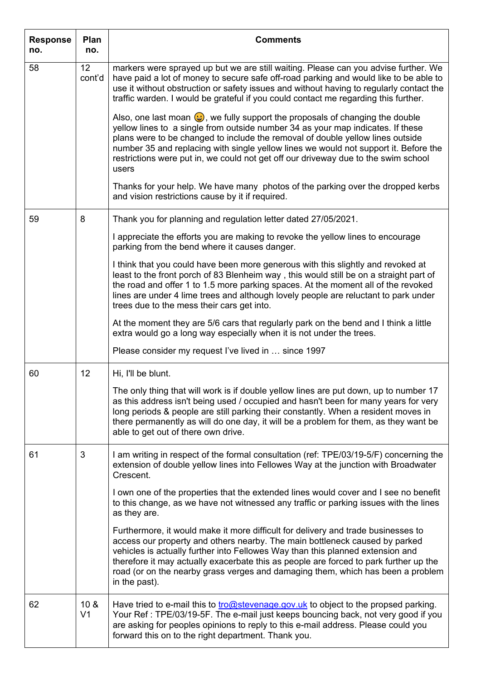| <b>Response</b><br>no. | Plan<br>no.                       | <b>Comments</b>                                                                                                                                                                                                                                                                                                                                                                                                                                    |
|------------------------|-----------------------------------|----------------------------------------------------------------------------------------------------------------------------------------------------------------------------------------------------------------------------------------------------------------------------------------------------------------------------------------------------------------------------------------------------------------------------------------------------|
| 58                     | 12 <sup>2</sup><br>cont'd         | markers were sprayed up but we are still waiting. Please can you advise further. We<br>have paid a lot of money to secure safe off-road parking and would like to be able to<br>use it without obstruction or safety issues and without having to regularly contact the<br>traffic warden. I would be grateful if you could contact me regarding this further.                                                                                     |
|                        |                                   | Also, one last moan $\bigodot$ , we fully support the proposals of changing the double<br>yellow lines to a single from outside number 34 as your map indicates. If these<br>plans were to be changed to include the removal of double yellow lines outside<br>number 35 and replacing with single yellow lines we would not support it. Before the<br>restrictions were put in, we could not get off our driveway due to the swim school<br>users |
|                        |                                   | Thanks for your help. We have many photos of the parking over the dropped kerbs<br>and vision restrictions cause by it if required.                                                                                                                                                                                                                                                                                                                |
| 59                     | 8                                 | Thank you for planning and regulation letter dated 27/05/2021.                                                                                                                                                                                                                                                                                                                                                                                     |
|                        |                                   | I appreciate the efforts you are making to revoke the yellow lines to encourage<br>parking from the bend where it causes danger.                                                                                                                                                                                                                                                                                                                   |
|                        |                                   | I think that you could have been more generous with this slightly and revoked at<br>least to the front porch of 83 Blenheim way, this would still be on a straight part of<br>the road and offer 1 to 1.5 more parking spaces. At the moment all of the revoked<br>lines are under 4 lime trees and although lovely people are reluctant to park under<br>trees due to the mess their cars get into.                                               |
|                        |                                   | At the moment they are 5/6 cars that regularly park on the bend and I think a little<br>extra would go a long way especially when it is not under the trees.                                                                                                                                                                                                                                                                                       |
|                        |                                   | Please consider my request I've lived in  since 1997                                                                                                                                                                                                                                                                                                                                                                                               |
| 60                     | 12                                | Hi, I'll be blunt.                                                                                                                                                                                                                                                                                                                                                                                                                                 |
|                        |                                   | The only thing that will work is if double yellow lines are put down, up to number 17<br>as this address isn't being used / occupied and hasn't been for many years for very<br>long periods & people are still parking their constantly. When a resident moves in<br>there permanently as will do one day, it will be a problem for them, as they want be<br>able to get out of there own drive.                                                  |
| 61                     | 3                                 | I am writing in respect of the formal consultation (ref: TPE/03/19-5/F) concerning the<br>extension of double yellow lines into Fellowes Way at the junction with Broadwater<br>Crescent.                                                                                                                                                                                                                                                          |
|                        |                                   | I own one of the properties that the extended lines would cover and I see no benefit<br>to this change, as we have not witnessed any traffic or parking issues with the lines<br>as they are.                                                                                                                                                                                                                                                      |
|                        |                                   | Furthermore, it would make it more difficult for delivery and trade businesses to<br>access our property and others nearby. The main bottleneck caused by parked<br>vehicles is actually further into Fellowes Way than this planned extension and<br>therefore it may actually exacerbate this as people are forced to park further up the<br>road (or on the nearby grass verges and damaging them, which has been a problem<br>in the past).    |
| 62                     | 10 <sub>8</sub><br>V <sub>1</sub> | Have tried to e-mail this to tro@stevenage.gov.uk to object to the propsed parking.<br>Your Ref: TPE/03/19-5F. The e-mail just keeps bouncing back, not very good if you<br>are asking for peoples opinions to reply to this e-mail address. Please could you<br>forward this on to the right department. Thank you.                                                                                                                               |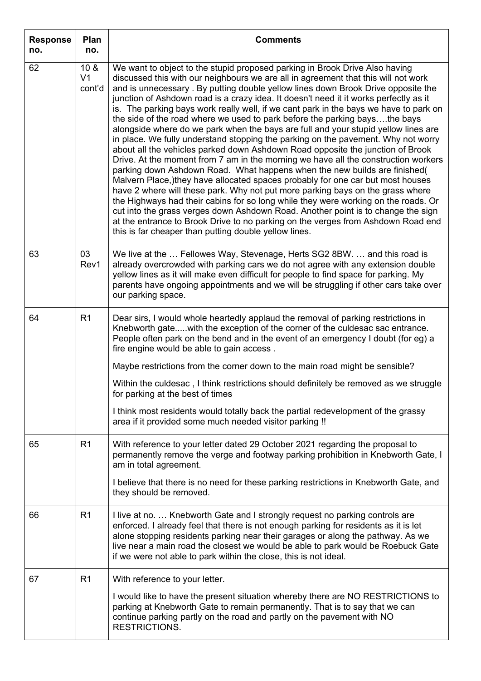| <b>Response</b><br>no. | Plan<br>no.                                 | <b>Comments</b>                                                                                                                                                                                                                                                                                                                                                                                                                                                                                                                                                                                                                                                                                                                                                                                                                                                                                                                                                                                                                                                                                                                                                                                                                                                                                                                                                                                                                                   |
|------------------------|---------------------------------------------|---------------------------------------------------------------------------------------------------------------------------------------------------------------------------------------------------------------------------------------------------------------------------------------------------------------------------------------------------------------------------------------------------------------------------------------------------------------------------------------------------------------------------------------------------------------------------------------------------------------------------------------------------------------------------------------------------------------------------------------------------------------------------------------------------------------------------------------------------------------------------------------------------------------------------------------------------------------------------------------------------------------------------------------------------------------------------------------------------------------------------------------------------------------------------------------------------------------------------------------------------------------------------------------------------------------------------------------------------------------------------------------------------------------------------------------------------|
| 62                     | 10 <sub>8</sub><br>V <sub>1</sub><br>cont'd | We want to object to the stupid proposed parking in Brook Drive Also having<br>discussed this with our neighbours we are all in agreement that this will not work<br>and is unnecessary. By putting double yellow lines down Brook Drive opposite the<br>junction of Ashdown road is a crazy idea. It doesn't need it it works perfectly as it<br>is. The parking bays work really well, if we cant park in the bays we have to park on<br>the side of the road where we used to park before the parking baysthe bays<br>alongside where do we park when the bays are full and your stupid yellow lines are<br>in place. We fully understand stopping the parking on the pavement. Why not worry<br>about all the vehicles parked down Ashdown Road opposite the junction of Brook<br>Drive. At the moment from 7 am in the morning we have all the construction workers<br>parking down Ashdown Road. What happens when the new builds are finished(<br>Malvern Place, )they have allocated spaces probably for one car but most houses<br>have 2 where will these park. Why not put more parking bays on the grass where<br>the Highways had their cabins for so long while they were working on the roads. Or<br>cut into the grass verges down Ashdown Road. Another point is to change the sign<br>at the entrance to Brook Drive to no parking on the verges from Ashdown Road end<br>this is far cheaper than putting double yellow lines. |
| 63                     | 03<br>Rev1                                  | We live at the  Fellowes Way, Stevenage, Herts SG2 8BW.  and this road is<br>already overcrowded with parking cars we do not agree with any extension double<br>yellow lines as it will make even difficult for people to find space for parking. My<br>parents have ongoing appointments and we will be struggling if other cars take over<br>our parking space.                                                                                                                                                                                                                                                                                                                                                                                                                                                                                                                                                                                                                                                                                                                                                                                                                                                                                                                                                                                                                                                                                 |
| 64                     | R1                                          | Dear sirs, I would whole heartedly applaud the removal of parking restrictions in<br>Knebworth gatewith the exception of the corner of the culdesac sac entrance.<br>People often park on the bend and in the event of an emergency I doubt (for eg) a<br>fire engine would be able to gain access.<br>Maybe restrictions from the corner down to the main road might be sensible?<br>Within the culdesac, I think restrictions should definitely be removed as we struggle<br>for parking at the best of times<br>I think most residents would totally back the partial redevelopment of the grassy<br>area if it provided some much needed visitor parking !!                                                                                                                                                                                                                                                                                                                                                                                                                                                                                                                                                                                                                                                                                                                                                                                   |
| 65                     | R <sub>1</sub>                              | With reference to your letter dated 29 October 2021 regarding the proposal to<br>permanently remove the verge and footway parking prohibition in Knebworth Gate, I<br>am in total agreement.<br>I believe that there is no need for these parking restrictions in Knebworth Gate, and<br>they should be removed.                                                                                                                                                                                                                                                                                                                                                                                                                                                                                                                                                                                                                                                                                                                                                                                                                                                                                                                                                                                                                                                                                                                                  |
| 66                     | R <sub>1</sub>                              | I live at no.  Knebworth Gate and I strongly request no parking controls are<br>enforced. I already feel that there is not enough parking for residents as it is let<br>alone stopping residents parking near their garages or along the pathway. As we<br>live near a main road the closest we would be able to park would be Roebuck Gate<br>if we were not able to park within the close, this is not ideal.                                                                                                                                                                                                                                                                                                                                                                                                                                                                                                                                                                                                                                                                                                                                                                                                                                                                                                                                                                                                                                   |
| 67                     | R <sub>1</sub>                              | With reference to your letter.<br>I would like to have the present situation whereby there are NO RESTRICTIONS to<br>parking at Knebworth Gate to remain permanently. That is to say that we can<br>continue parking partly on the road and partly on the pavement with NO<br>RESTRICTIONS.                                                                                                                                                                                                                                                                                                                                                                                                                                                                                                                                                                                                                                                                                                                                                                                                                                                                                                                                                                                                                                                                                                                                                       |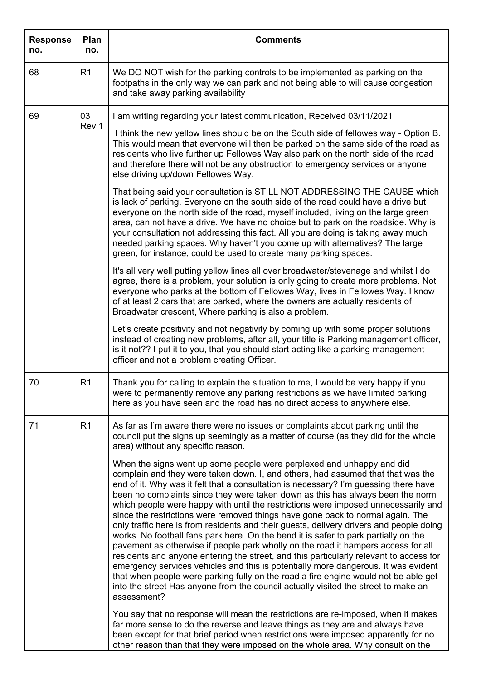| <b>Response</b><br>no. | Plan<br>no.    | <b>Comments</b>                                                                                                                                                                                                                                                                                                                                                                                                                                                                                                                                                                                                                                                                                                                                                                                                                                                                                                                                                                                                                                                                                                                                               |
|------------------------|----------------|---------------------------------------------------------------------------------------------------------------------------------------------------------------------------------------------------------------------------------------------------------------------------------------------------------------------------------------------------------------------------------------------------------------------------------------------------------------------------------------------------------------------------------------------------------------------------------------------------------------------------------------------------------------------------------------------------------------------------------------------------------------------------------------------------------------------------------------------------------------------------------------------------------------------------------------------------------------------------------------------------------------------------------------------------------------------------------------------------------------------------------------------------------------|
| 68                     | R <sub>1</sub> | We DO NOT wish for the parking controls to be implemented as parking on the<br>footpaths in the only way we can park and not being able to will cause congestion<br>and take away parking availability                                                                                                                                                                                                                                                                                                                                                                                                                                                                                                                                                                                                                                                                                                                                                                                                                                                                                                                                                        |
| 69                     | 03             | I am writing regarding your latest communication, Received 03/11/2021.                                                                                                                                                                                                                                                                                                                                                                                                                                                                                                                                                                                                                                                                                                                                                                                                                                                                                                                                                                                                                                                                                        |
|                        | Rev 1          | I think the new yellow lines should be on the South side of fellowes way - Option B.<br>This would mean that everyone will then be parked on the same side of the road as<br>residents who live further up Fellowes Way also park on the north side of the road<br>and therefore there will not be any obstruction to emergency services or anyone<br>else driving up/down Fellowes Way.                                                                                                                                                                                                                                                                                                                                                                                                                                                                                                                                                                                                                                                                                                                                                                      |
|                        |                | That being said your consultation is STILL NOT ADDRESSING THE CAUSE which<br>is lack of parking. Everyone on the south side of the road could have a drive but<br>everyone on the north side of the road, myself included, living on the large green<br>area, can not have a drive. We have no choice but to park on the roadside. Why is<br>your consultation not addressing this fact. All you are doing is taking away much<br>needed parking spaces. Why haven't you come up with alternatives? The large<br>green, for instance, could be used to create many parking spaces.                                                                                                                                                                                                                                                                                                                                                                                                                                                                                                                                                                            |
|                        |                | It's all very well putting yellow lines all over broadwater/stevenage and whilst I do<br>agree, there is a problem, your solution is only going to create more problems. Not<br>everyone who parks at the bottom of Fellowes Way, lives in Fellowes Way. I know<br>of at least 2 cars that are parked, where the owners are actually residents of<br>Broadwater crescent, Where parking is also a problem.                                                                                                                                                                                                                                                                                                                                                                                                                                                                                                                                                                                                                                                                                                                                                    |
|                        |                | Let's create positivity and not negativity by coming up with some proper solutions<br>instead of creating new problems, after all, your title is Parking management officer,<br>is it not?? I put it to you, that you should start acting like a parking management<br>officer and not a problem creating Officer.                                                                                                                                                                                                                                                                                                                                                                                                                                                                                                                                                                                                                                                                                                                                                                                                                                            |
| 70                     | R <sub>1</sub> | Thank you for calling to explain the situation to me, I would be very happy if you<br>were to permanently remove any parking restrictions as we have limited parking<br>here as you have seen and the road has no direct access to anywhere else.                                                                                                                                                                                                                                                                                                                                                                                                                                                                                                                                                                                                                                                                                                                                                                                                                                                                                                             |
| 71                     | R <sub>1</sub> | As far as I'm aware there were no issues or complaints about parking until the<br>council put the signs up seemingly as a matter of course (as they did for the whole<br>area) without any specific reason.                                                                                                                                                                                                                                                                                                                                                                                                                                                                                                                                                                                                                                                                                                                                                                                                                                                                                                                                                   |
|                        |                | When the signs went up some people were perplexed and unhappy and did<br>complain and they were taken down. I, and others, had assumed that that was the<br>end of it. Why was it felt that a consultation is necessary? I'm guessing there have<br>been no complaints since they were taken down as this has always been the norm<br>which people were happy with until the restrictions were imposed unnecessarily and<br>since the restrictions were removed things have gone back to normal again. The<br>only traffic here is from residents and their guests, delivery drivers and people doing<br>works. No football fans park here. On the bend it is safer to park partially on the<br>pavement as otherwise if people park wholly on the road it hampers access for all<br>residents and anyone entering the street, and this particularly relevant to access for<br>emergency services vehicles and this is potentially more dangerous. It was evident<br>that when people were parking fully on the road a fire engine would not be able get<br>into the street Has anyone from the council actually visited the street to make an<br>assessment? |
|                        |                | You say that no response will mean the restrictions are re-imposed, when it makes<br>far more sense to do the reverse and leave things as they are and always have<br>been except for that brief period when restrictions were imposed apparently for no<br>other reason than that they were imposed on the whole area. Why consult on the                                                                                                                                                                                                                                                                                                                                                                                                                                                                                                                                                                                                                                                                                                                                                                                                                    |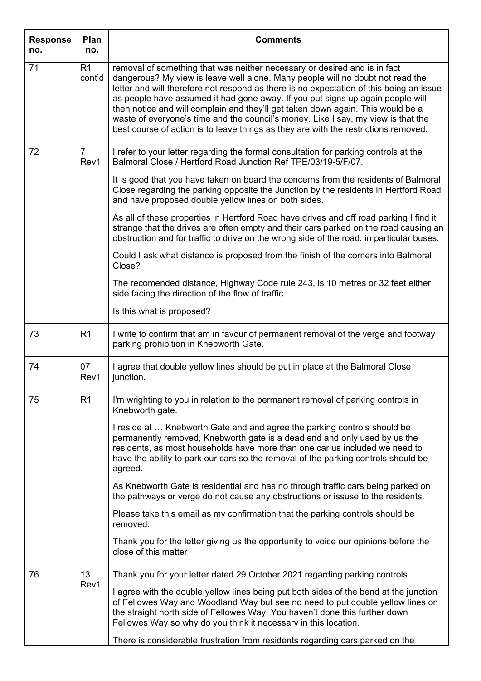| <b>Response</b><br>no. | Plan<br>no.              | <b>Comments</b>                                                                                                                                                                                                                                                                                                                                                                                                                                                                                                                                                                                         |
|------------------------|--------------------------|---------------------------------------------------------------------------------------------------------------------------------------------------------------------------------------------------------------------------------------------------------------------------------------------------------------------------------------------------------------------------------------------------------------------------------------------------------------------------------------------------------------------------------------------------------------------------------------------------------|
| 71                     | R <sub>1</sub><br>cont'd | removal of something that was neither necessary or desired and is in fact<br>dangerous? My view is leave well alone. Many people will no doubt not read the<br>letter and will therefore not respond as there is no expectation of this being an issue<br>as people have assumed it had gone away. If you put signs up again people will<br>then notice and will complain and they'll get taken down again. This would be a<br>waste of everyone's time and the council's money. Like I say, my view is that the<br>best course of action is to leave things as they are with the restrictions removed. |
| 72                     | $\overline{7}$<br>Rev1   | I refer to your letter regarding the formal consultation for parking controls at the<br>Balmoral Close / Hertford Road Junction Ref TPE/03/19-5/F/07.                                                                                                                                                                                                                                                                                                                                                                                                                                                   |
|                        |                          | It is good that you have taken on board the concerns from the residents of Balmoral<br>Close regarding the parking opposite the Junction by the residents in Hertford Road<br>and have proposed double yellow lines on both sides.                                                                                                                                                                                                                                                                                                                                                                      |
|                        |                          | As all of these properties in Hertford Road have drives and off road parking I find it<br>strange that the drives are often empty and their cars parked on the road causing an<br>obstruction and for traffic to drive on the wrong side of the road, in particular buses.                                                                                                                                                                                                                                                                                                                              |
|                        |                          | Could I ask what distance is proposed from the finish of the corners into Balmoral<br>Close?                                                                                                                                                                                                                                                                                                                                                                                                                                                                                                            |
|                        |                          | The recomended distance, Highway Code rule 243, is 10 metres or 32 feet either<br>side facing the direction of the flow of traffic.                                                                                                                                                                                                                                                                                                                                                                                                                                                                     |
|                        |                          | Is this what is proposed?                                                                                                                                                                                                                                                                                                                                                                                                                                                                                                                                                                               |
| 73                     | R <sub>1</sub>           | I write to confirm that am in favour of permanent removal of the verge and footway<br>parking prohibition in Knebworth Gate.                                                                                                                                                                                                                                                                                                                                                                                                                                                                            |
| 74                     | 07<br>Rev1               | I agree that double yellow lines should be put in place at the Balmoral Close<br>junction.                                                                                                                                                                                                                                                                                                                                                                                                                                                                                                              |
| 75                     | R <sub>1</sub>           | I'm wrighting to you in relation to the permanent removal of parking controls in<br>Knebworth gate.                                                                                                                                                                                                                                                                                                                                                                                                                                                                                                     |
|                        |                          | I reside at  Knebworth Gate and and agree the parking controls should be<br>permanently removed, Knebworth gate is a dead end and only used by us the<br>residents, as most households have more than one car us included we need to<br>have the ability to park our cars so the removal of the parking controls should be<br>agreed.                                                                                                                                                                                                                                                                   |
|                        |                          | As Knebworth Gate is residential and has no through traffic cars being parked on<br>the pathways or verge do not cause any obstructions or issuse to the residents.                                                                                                                                                                                                                                                                                                                                                                                                                                     |
|                        |                          | Please take this email as my confirmation that the parking controls should be<br>removed.                                                                                                                                                                                                                                                                                                                                                                                                                                                                                                               |
|                        |                          | Thank you for the letter giving us the opportunity to voice our opinions before the<br>close of this matter                                                                                                                                                                                                                                                                                                                                                                                                                                                                                             |
| 76                     | 13<br>Rev1               | Thank you for your letter dated 29 October 2021 regarding parking controls.                                                                                                                                                                                                                                                                                                                                                                                                                                                                                                                             |
|                        |                          | I agree with the double yellow lines being put both sides of the bend at the junction<br>of Fellowes Way and Woodland Way but see no need to put double yellow lines on<br>the straight north side of Fellowes Way. You haven't done this further down<br>Fellowes Way so why do you think it necessary in this location.                                                                                                                                                                                                                                                                               |
|                        |                          | There is considerable frustration from residents regarding cars parked on the                                                                                                                                                                                                                                                                                                                                                                                                                                                                                                                           |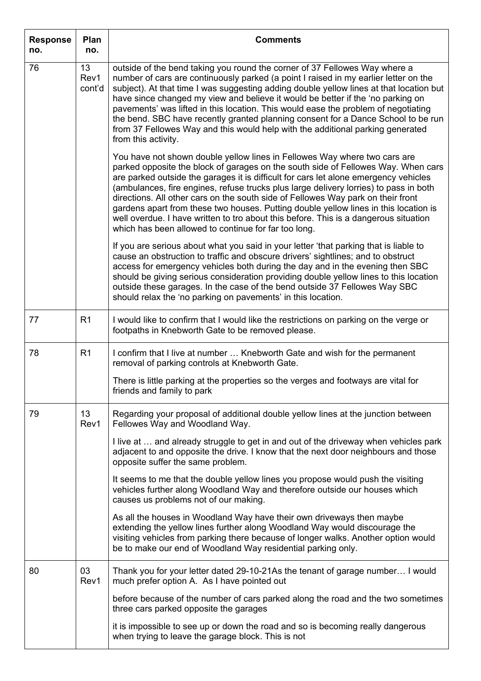| <b>Response</b><br>no. | Plan<br>no.          | <b>Comments</b>                                                                                                                                                                                                                                                                                                                                                                                                                                                                                                                                                                                                                                                             |
|------------------------|----------------------|-----------------------------------------------------------------------------------------------------------------------------------------------------------------------------------------------------------------------------------------------------------------------------------------------------------------------------------------------------------------------------------------------------------------------------------------------------------------------------------------------------------------------------------------------------------------------------------------------------------------------------------------------------------------------------|
| 76                     | 13<br>Rev1<br>cont'd | outside of the bend taking you round the corner of 37 Fellowes Way where a<br>number of cars are continuously parked (a point I raised in my earlier letter on the<br>subject). At that time I was suggesting adding double yellow lines at that location but<br>have since changed my view and believe it would be better if the 'no parking on<br>pavements' was lifted in this location. This would ease the problem of negotiating<br>the bend. SBC have recently granted planning consent for a Dance School to be run<br>from 37 Fellowes Way and this would help with the additional parking generated<br>from this activity.                                        |
|                        |                      | You have not shown double yellow lines in Fellowes Way where two cars are<br>parked opposite the block of garages on the south side of Fellowes Way. When cars<br>are parked outside the garages it is difficult for cars let alone emergency vehicles<br>(ambulances, fire engines, refuse trucks plus large delivery lorries) to pass in both<br>directions. All other cars on the south side of Fellowes Way park on their front<br>gardens apart from these two houses. Putting double yellow lines in this location is<br>well overdue. I have written to tro about this before. This is a dangerous situation<br>which has been allowed to continue for far too long. |
|                        |                      | If you are serious about what you said in your letter 'that parking that is liable to<br>cause an obstruction to traffic and obscure drivers' sightlines; and to obstruct<br>access for emergency vehicles both during the day and in the evening then SBC<br>should be giving serious consideration providing double yellow lines to this location<br>outside these garages. In the case of the bend outside 37 Fellowes Way SBC<br>should relax the 'no parking on pavements' in this location.                                                                                                                                                                           |
| 77                     | R <sub>1</sub>       | I would like to confirm that I would like the restrictions on parking on the verge or<br>footpaths in Knebworth Gate to be removed please.                                                                                                                                                                                                                                                                                                                                                                                                                                                                                                                                  |
| 78                     | R <sub>1</sub>       | I confirm that I live at number  Knebworth Gate and wish for the permanent<br>removal of parking controls at Knebworth Gate.                                                                                                                                                                                                                                                                                                                                                                                                                                                                                                                                                |
|                        |                      | There is little parking at the properties so the verges and footways are vital for<br>friends and family to park                                                                                                                                                                                                                                                                                                                                                                                                                                                                                                                                                            |
| 79                     | 13<br>Rev1           | Regarding your proposal of additional double yellow lines at the junction between<br>Fellowes Way and Woodland Way.                                                                                                                                                                                                                                                                                                                                                                                                                                                                                                                                                         |
|                        |                      | I live at  and already struggle to get in and out of the driveway when vehicles park<br>adjacent to and opposite the drive. I know that the next door neighbours and those<br>opposite suffer the same problem.                                                                                                                                                                                                                                                                                                                                                                                                                                                             |
|                        |                      | It seems to me that the double yellow lines you propose would push the visiting<br>vehicles further along Woodland Way and therefore outside our houses which<br>causes us problems not of our making.                                                                                                                                                                                                                                                                                                                                                                                                                                                                      |
|                        |                      | As all the houses in Woodland Way have their own driveways then maybe<br>extending the yellow lines further along Woodland Way would discourage the<br>visiting vehicles from parking there because of longer walks. Another option would<br>be to make our end of Woodland Way residential parking only.                                                                                                                                                                                                                                                                                                                                                                   |
| 80                     | 03<br>Rev1           | Thank you for your letter dated 29-10-21As the tenant of garage number I would<br>much prefer option A. As I have pointed out                                                                                                                                                                                                                                                                                                                                                                                                                                                                                                                                               |
|                        |                      | before because of the number of cars parked along the road and the two sometimes<br>three cars parked opposite the garages                                                                                                                                                                                                                                                                                                                                                                                                                                                                                                                                                  |
|                        |                      | it is impossible to see up or down the road and so is becoming really dangerous<br>when trying to leave the garage block. This is not                                                                                                                                                                                                                                                                                                                                                                                                                                                                                                                                       |